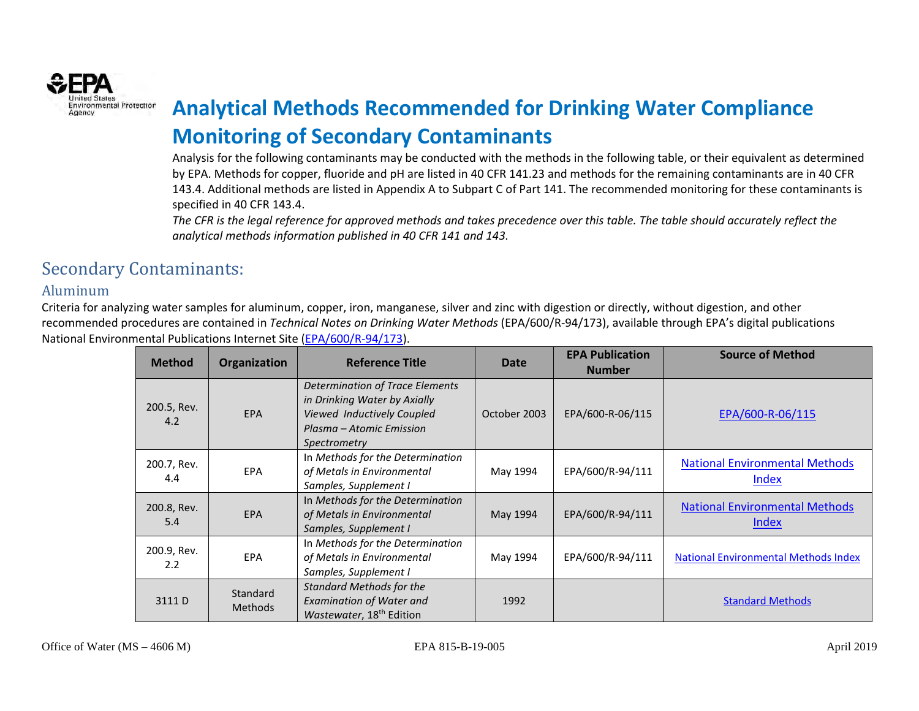

# **Environmental Protectior Analytical Methods Recommended for Drinking Water Compliance Monitoring of Secondary Contaminants**

Analysis for the following contaminants may be conducted with the methods in the following table, or their equivalent as determined by EPA. Methods for copper, fluoride and pH are listed in 40 CFR 141.23 and methods for the remaining contaminants are in 40 CFR 143.4. Additional methods are listed in Appendix A to Subpart C of Part 141. The recommended monitoring for these contaminants is specified in 40 CFR 143.4.

*The CFR is the legal reference for approved methods and takes precedence over this table. The table should accurately reflect the analytical methods information published in 40 CFR 141 and 143.*

## Secondary Contaminants:

#### Aluminum

| <b>Method</b>                | <b>Organization</b>        | <b>Reference Title</b>                                                                                                                           | Date         | <b>EPA Publication</b><br><b>Number</b> | <b>Source of Method</b>                        |
|------------------------------|----------------------------|--------------------------------------------------------------------------------------------------------------------------------------------------|--------------|-----------------------------------------|------------------------------------------------|
| 200.5, Rev.<br>4.2           | <b>EPA</b>                 | <b>Determination of Trace Elements</b><br>in Drinking Water by Axially<br>Viewed Inductively Coupled<br>Plasma – Atomic Emission<br>Spectrometry | October 2003 | EPA/600-R-06/115                        | EPA/600-R-06/115                               |
| 200.7, Rev.<br>4.4           | <b>EPA</b>                 | In Methods for the Determination<br>of Metals in Environmental<br>Samples, Supplement I                                                          | May 1994     | EPA/600/R-94/111                        | <b>National Environmental Methods</b><br>Index |
| 200.8, Rev.<br>5.4           | <b>EPA</b>                 | In Methods for the Determination<br>of Metals in Environmental<br>Samples, Supplement I                                                          | May 1994     | EPA/600/R-94/111                        | <b>National Environmental Methods</b><br>Index |
| 200.9, Rev.<br>$2.2^{\circ}$ | <b>EPA</b>                 | In Methods for the Determination<br>of Metals in Environmental<br>Samples, Supplement I                                                          | May 1994     | EPA/600/R-94/111                        | <b>National Environmental Methods Index</b>    |
| 3111 D                       | Standard<br><b>Methods</b> | <b>Standard Methods for the</b><br><b>Examination of Water and</b><br>Wastewater, 18 <sup>th</sup> Edition                                       | 1992         |                                         | <b>Standard Methods</b>                        |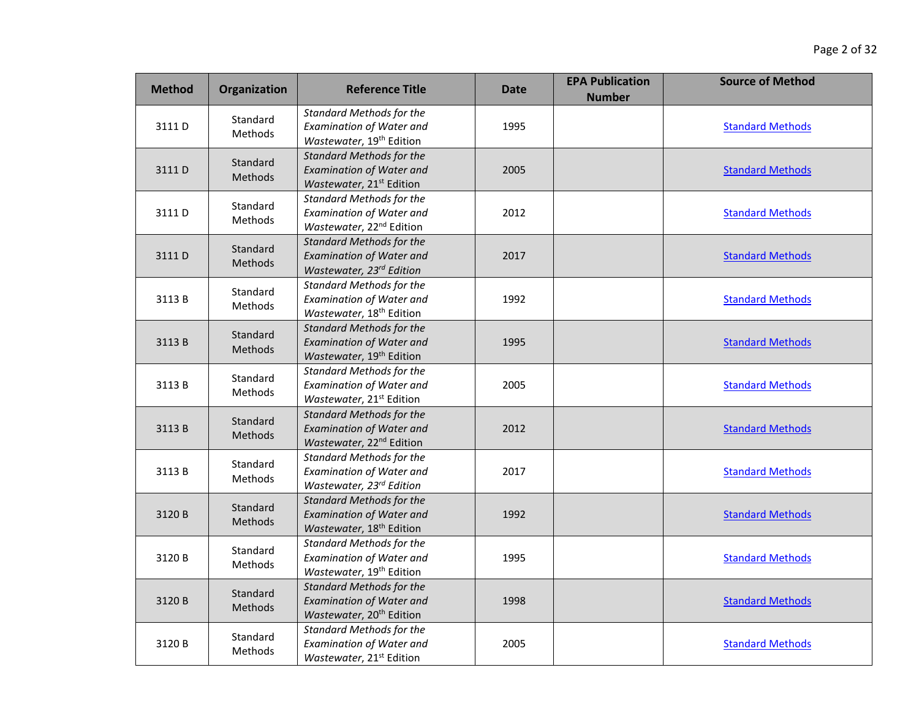| <b>Method</b> | Organization               | <b>Reference Title</b>                                                                                     | Date | <b>EPA Publication</b><br><b>Number</b> | <b>Source of Method</b> |
|---------------|----------------------------|------------------------------------------------------------------------------------------------------------|------|-----------------------------------------|-------------------------|
| 3111D         | Standard<br><b>Methods</b> | <b>Standard Methods for the</b><br><b>Examination of Water and</b><br>Wastewater, 19 <sup>th</sup> Edition | 1995 |                                         | <b>Standard Methods</b> |
| 3111D         | Standard<br><b>Methods</b> | <b>Standard Methods for the</b><br><b>Examination of Water and</b><br>Wastewater, 21 <sup>st</sup> Edition | 2005 |                                         | <b>Standard Methods</b> |
| 3111D         | Standard<br>Methods        | <b>Standard Methods for the</b><br><b>Examination of Water and</b><br>Wastewater, 22 <sup>nd</sup> Edition | 2012 |                                         | <b>Standard Methods</b> |
| 3111D         | Standard<br>Methods        | <b>Standard Methods for the</b><br><b>Examination of Water and</b><br>Wastewater, 23rd Edition             | 2017 |                                         | <b>Standard Methods</b> |
| 3113B         | Standard<br>Methods        | <b>Standard Methods for the</b><br><b>Examination of Water and</b><br>Wastewater, 18 <sup>th</sup> Edition | 1992 |                                         | <b>Standard Methods</b> |
| 3113B         | Standard<br>Methods        | <b>Standard Methods for the</b><br><b>Examination of Water and</b><br>Wastewater, 19 <sup>th</sup> Edition | 1995 |                                         | <b>Standard Methods</b> |
| 3113B         | Standard<br><b>Methods</b> | <b>Standard Methods for the</b><br><b>Examination of Water and</b><br>Wastewater, 21 <sup>st</sup> Edition | 2005 |                                         | <b>Standard Methods</b> |
| 3113B         | Standard<br>Methods        | <b>Standard Methods for the</b><br><b>Examination of Water and</b><br>Wastewater, 22 <sup>nd</sup> Edition | 2012 |                                         | <b>Standard Methods</b> |
| 3113B         | Standard<br>Methods        | <b>Standard Methods for the</b><br><b>Examination of Water and</b><br>Wastewater, 23rd Edition             | 2017 |                                         | <b>Standard Methods</b> |
| 3120B         | Standard<br><b>Methods</b> | <b>Standard Methods for the</b><br><b>Examination of Water and</b><br>Wastewater, 18 <sup>th</sup> Edition | 1992 |                                         | <b>Standard Methods</b> |
| 3120 B        | Standard<br><b>Methods</b> | <b>Standard Methods for the</b><br><b>Examination of Water and</b><br>Wastewater, 19 <sup>th</sup> Edition | 1995 |                                         | <b>Standard Methods</b> |
| 3120B         | Standard<br><b>Methods</b> | <b>Standard Methods for the</b><br><b>Examination of Water and</b><br>Wastewater, 20 <sup>th</sup> Edition | 1998 |                                         | <b>Standard Methods</b> |
| 3120 B        | Standard<br>Methods        | <b>Standard Methods for the</b><br><b>Examination of Water and</b><br>Wastewater, 21 <sup>st</sup> Edition | 2005 |                                         | <b>Standard Methods</b> |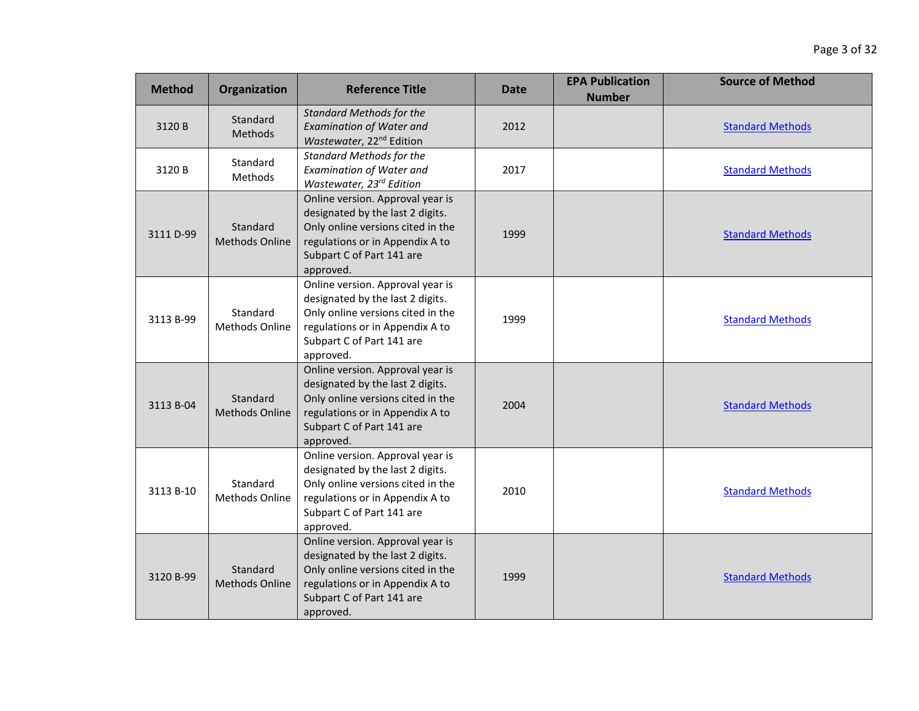| <b>Method</b> | Organization                      | <b>Reference Title</b>                                                                                                                                                                 | <b>Date</b> | <b>EPA Publication</b><br><b>Number</b> | <b>Source of Method</b> |
|---------------|-----------------------------------|----------------------------------------------------------------------------------------------------------------------------------------------------------------------------------------|-------------|-----------------------------------------|-------------------------|
| 3120 B        | Standard<br>Methods               | <b>Standard Methods for the</b><br><b>Examination of Water and</b><br>Wastewater, 22 <sup>nd</sup> Edition                                                                             | 2012        |                                         | <b>Standard Methods</b> |
| 3120 B        | Standard<br>Methods               | <b>Standard Methods for the</b><br><b>Examination of Water and</b><br>Wastewater, 23rd Edition                                                                                         | 2017        |                                         | <b>Standard Methods</b> |
| 3111 D-99     | Standard<br><b>Methods Online</b> | Online version. Approval year is<br>designated by the last 2 digits.<br>Only online versions cited in the<br>regulations or in Appendix A to<br>Subpart C of Part 141 are<br>approved. | 1999        |                                         | <b>Standard Methods</b> |
| 3113 B-99     | Standard<br><b>Methods Online</b> | Online version. Approval year is<br>designated by the last 2 digits.<br>Only online versions cited in the<br>regulations or in Appendix A to<br>Subpart C of Part 141 are<br>approved. | 1999        |                                         | <b>Standard Methods</b> |
| 3113 B-04     | Standard<br><b>Methods Online</b> | Online version. Approval year is<br>designated by the last 2 digits.<br>Only online versions cited in the<br>regulations or in Appendix A to<br>Subpart C of Part 141 are<br>approved. | 2004        |                                         | <b>Standard Methods</b> |
| 3113 B-10     | Standard<br>Methods Online        | Online version. Approval year is<br>designated by the last 2 digits.<br>Only online versions cited in the<br>regulations or in Appendix A to<br>Subpart C of Part 141 are<br>approved. | 2010        |                                         | <b>Standard Methods</b> |
| 3120 B-99     | Standard<br><b>Methods Online</b> | Online version. Approval year is<br>designated by the last 2 digits.<br>Only online versions cited in the<br>regulations or in Appendix A to<br>Subpart C of Part 141 are<br>approved. | 1999        |                                         | <b>Standard Methods</b> |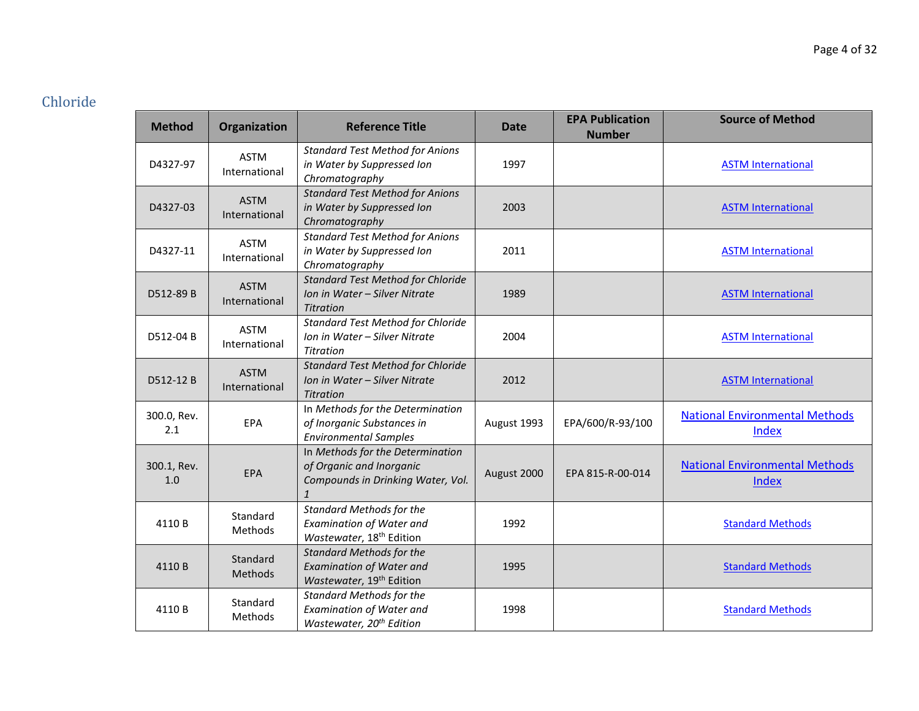# Chloride

| <b>Method</b>      | Organization                 | <b>Reference Title</b>                                                                                            | <b>Date</b> | <b>EPA Publication</b><br><b>Number</b> | <b>Source of Method</b>                        |
|--------------------|------------------------------|-------------------------------------------------------------------------------------------------------------------|-------------|-----------------------------------------|------------------------------------------------|
| D4327-97           | <b>ASTM</b><br>International | <b>Standard Test Method for Anions</b><br>in Water by Suppressed Ion<br>Chromatography                            | 1997        |                                         | <b>ASTM International</b>                      |
| D4327-03           | <b>ASTM</b><br>International | <b>Standard Test Method for Anions</b><br>in Water by Suppressed Ion<br>Chromatography                            | 2003        |                                         | <b>ASTM International</b>                      |
| D4327-11           | <b>ASTM</b><br>International | <b>Standard Test Method for Anions</b><br>in Water by Suppressed Ion<br>Chromatography                            | 2011        |                                         | <b>ASTM International</b>                      |
| D512-89 B          | <b>ASTM</b><br>International | <b>Standard Test Method for Chloride</b><br>Ion in Water - Silver Nitrate<br><b>Titration</b>                     | 1989        |                                         | <b>ASTM International</b>                      |
| D512-04 B          | <b>ASTM</b><br>International | <b>Standard Test Method for Chloride</b><br>Ion in Water - Silver Nitrate<br>Titration                            | 2004        |                                         | <b>ASTM International</b>                      |
| D512-12B           | <b>ASTM</b><br>International | <b>Standard Test Method for Chloride</b><br>Ion in Water - Silver Nitrate<br><b>Titration</b>                     | 2012        |                                         | <b>ASTM International</b>                      |
| 300.0, Rev.<br>2.1 | EPA                          | In Methods for the Determination<br>of Inorganic Substances in<br><b>Environmental Samples</b>                    | August 1993 | EPA/600/R-93/100                        | <b>National Environmental Methods</b><br>Index |
| 300.1, Rev.<br>1.0 | EPA                          | In Methods for the Determination<br>of Organic and Inorganic<br>Compounds in Drinking Water, Vol.<br>$\mathbf{1}$ | August 2000 | EPA 815-R-00-014                        | <b>National Environmental Methods</b><br>Index |
| 4110B              | Standard<br>Methods          | <b>Standard Methods for the</b><br><b>Examination of Water and</b><br>Wastewater, 18 <sup>th</sup> Edition        | 1992        |                                         | <b>Standard Methods</b>                        |
| 4110B              | Standard<br>Methods          | <b>Standard Methods for the</b><br><b>Examination of Water and</b><br>Wastewater, 19 <sup>th</sup> Edition        | 1995        |                                         | <b>Standard Methods</b>                        |
| 4110B              | Standard<br>Methods          | <b>Standard Methods for the</b><br><b>Examination of Water and</b><br>Wastewater, 20 <sup>th</sup> Edition        | 1998        |                                         | <b>Standard Methods</b>                        |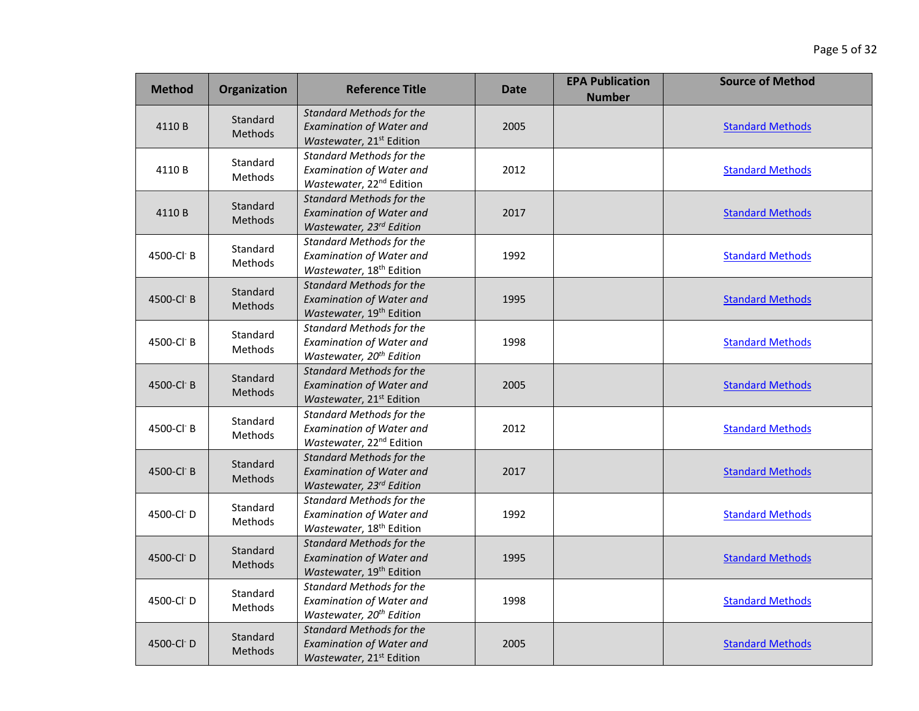| <b>Method</b>          | <b>Organization</b>        | <b>Reference Title</b>                                                                                     | Date | <b>EPA Publication</b><br><b>Number</b> | <b>Source of Method</b> |
|------------------------|----------------------------|------------------------------------------------------------------------------------------------------------|------|-----------------------------------------|-------------------------|
| 4110B                  | Standard<br><b>Methods</b> | <b>Standard Methods for the</b><br><b>Examination of Water and</b><br>Wastewater, 21 <sup>st</sup> Edition | 2005 |                                         | <b>Standard Methods</b> |
| 4110B                  | Standard<br>Methods        | <b>Standard Methods for the</b><br><b>Examination of Water and</b><br>Wastewater, 22 <sup>nd</sup> Edition | 2012 |                                         | <b>Standard Methods</b> |
| 4110B                  | Standard<br>Methods        | <b>Standard Methods for the</b><br><b>Examination of Water and</b><br>Wastewater, 23 <sup>rd</sup> Edition | 2017 |                                         | <b>Standard Methods</b> |
| 4500-Cl B              | Standard<br>Methods        | Standard Methods for the<br><b>Examination of Water and</b><br>Wastewater, 18 <sup>th</sup> Edition        | 1992 |                                         | <b>Standard Methods</b> |
| 4500-Cl B              | Standard<br>Methods        | <b>Standard Methods for the</b><br><b>Examination of Water and</b><br>Wastewater, 19 <sup>th</sup> Edition | 1995 |                                         | <b>Standard Methods</b> |
| 4500-Cl B              | Standard<br>Methods        | <b>Standard Methods for the</b><br><b>Examination of Water and</b><br>Wastewater, 20 <sup>th</sup> Edition | 1998 |                                         | <b>Standard Methods</b> |
| 4500-Cl B              | Standard<br><b>Methods</b> | <b>Standard Methods for the</b><br><b>Examination of Water and</b><br>Wastewater, 21 <sup>st</sup> Edition | 2005 |                                         | <b>Standard Methods</b> |
| 4500-Cl B              | Standard<br>Methods        | <b>Standard Methods for the</b><br><b>Examination of Water and</b><br>Wastewater, 22 <sup>nd</sup> Edition | 2012 |                                         | <b>Standard Methods</b> |
| 4500-Cl B              | Standard<br><b>Methods</b> | <b>Standard Methods for the</b><br><b>Examination of Water and</b><br>Wastewater, 23rd Edition             | 2017 |                                         | <b>Standard Methods</b> |
| 4500-Cl D              | Standard<br><b>Methods</b> | <b>Standard Methods for the</b><br><b>Examination of Water and</b><br>Wastewater, 18 <sup>th</sup> Edition | 1992 |                                         | <b>Standard Methods</b> |
| 4500-Cl <sup>-</sup> D | Standard<br><b>Methods</b> | <b>Standard Methods for the</b><br><b>Examination of Water and</b><br>Wastewater, 19 <sup>th</sup> Edition | 1995 |                                         | <b>Standard Methods</b> |
| 4500-Cl D              | Standard<br>Methods        | <b>Standard Methods for the</b><br><b>Examination of Water and</b><br>Wastewater, 20 <sup>th</sup> Edition | 1998 |                                         | <b>Standard Methods</b> |
| 4500-Cl <sup>-</sup> D | Standard<br>Methods        | <b>Standard Methods for the</b><br><b>Examination of Water and</b><br>Wastewater, 21 <sup>st</sup> Edition | 2005 |                                         | <b>Standard Methods</b> |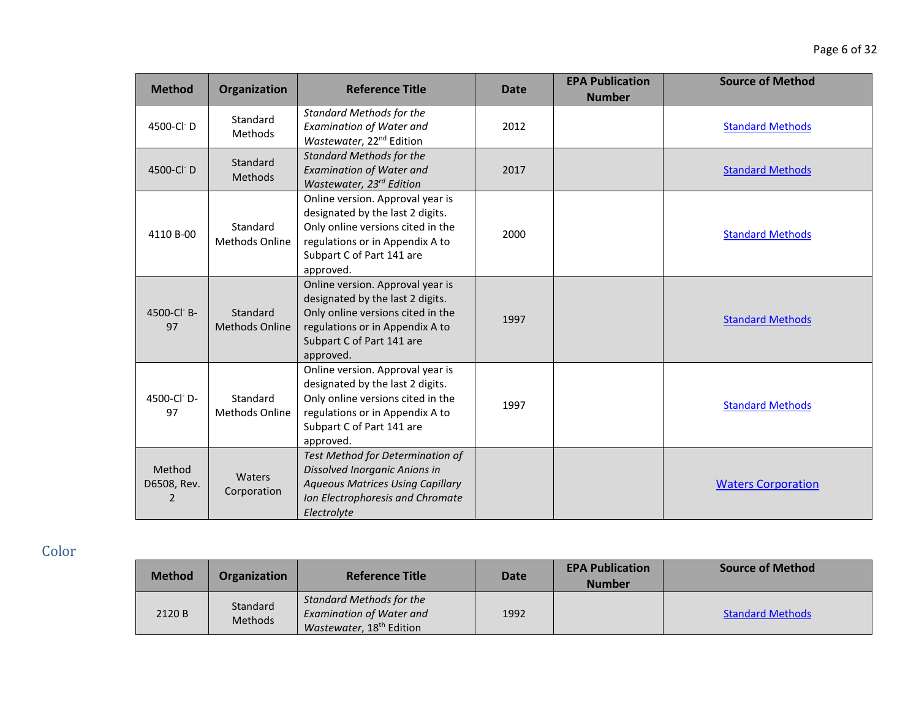| <b>Method</b>              | Organization                      | <b>Reference Title</b>                                                                                                                                                                 | <b>Date</b> | <b>EPA Publication</b><br><b>Number</b> | <b>Source of Method</b>   |
|----------------------------|-----------------------------------|----------------------------------------------------------------------------------------------------------------------------------------------------------------------------------------|-------------|-----------------------------------------|---------------------------|
| 4500-Cl D                  | Standard<br><b>Methods</b>        | <b>Standard Methods for the</b><br>Examination of Water and<br>Wastewater, 22 <sup>nd</sup> Edition                                                                                    | 2012        |                                         | <b>Standard Methods</b>   |
| 4500-Cl D                  | Standard<br>Methods               | <b>Standard Methods for the</b><br><b>Examination of Water and</b><br>Wastewater, 23rd Edition                                                                                         | 2017        |                                         | <b>Standard Methods</b>   |
| 4110 B-00                  | Standard<br><b>Methods Online</b> | Online version. Approval year is<br>designated by the last 2 digits.<br>Only online versions cited in the<br>regulations or in Appendix A to<br>Subpart C of Part 141 are<br>approved. | 2000        |                                         | <b>Standard Methods</b>   |
| 4500-Cl B-<br>97           | Standard<br><b>Methods Online</b> | Online version. Approval year is<br>designated by the last 2 digits.<br>Only online versions cited in the<br>regulations or in Appendix A to<br>Subpart C of Part 141 are<br>approved. | 1997        |                                         | <b>Standard Methods</b>   |
| 4500-Cl D-<br>97           | Standard<br><b>Methods Online</b> | Online version. Approval year is<br>designated by the last 2 digits.<br>Only online versions cited in the<br>regulations or in Appendix A to<br>Subpart C of Part 141 are<br>approved. | 1997        |                                         | <b>Standard Methods</b>   |
| Method<br>D6508, Rev.<br>2 | Waters<br>Corporation             | Test Method for Determination of<br>Dissolved Inorganic Anions in<br><b>Aqueous Matrices Using Capillary</b><br>Ion Electrophoresis and Chromate<br>Electrolvte                        |             |                                         | <b>Waters Corporation</b> |

Color

| <b>Method</b> | <b>Organization</b>        | <b>Reference Title</b>                                                                                     | <b>Date</b> | <b>EPA Publication</b><br><b>Number</b> | <b>Source of Method</b> |
|---------------|----------------------------|------------------------------------------------------------------------------------------------------------|-------------|-----------------------------------------|-------------------------|
| 2120 B        | Standard<br><b>Methods</b> | <b>Standard Methods for the</b><br><b>Examination of Water and</b><br>Wastewater, 18 <sup>th</sup> Edition | 1992        |                                         | <b>Standard Methods</b> |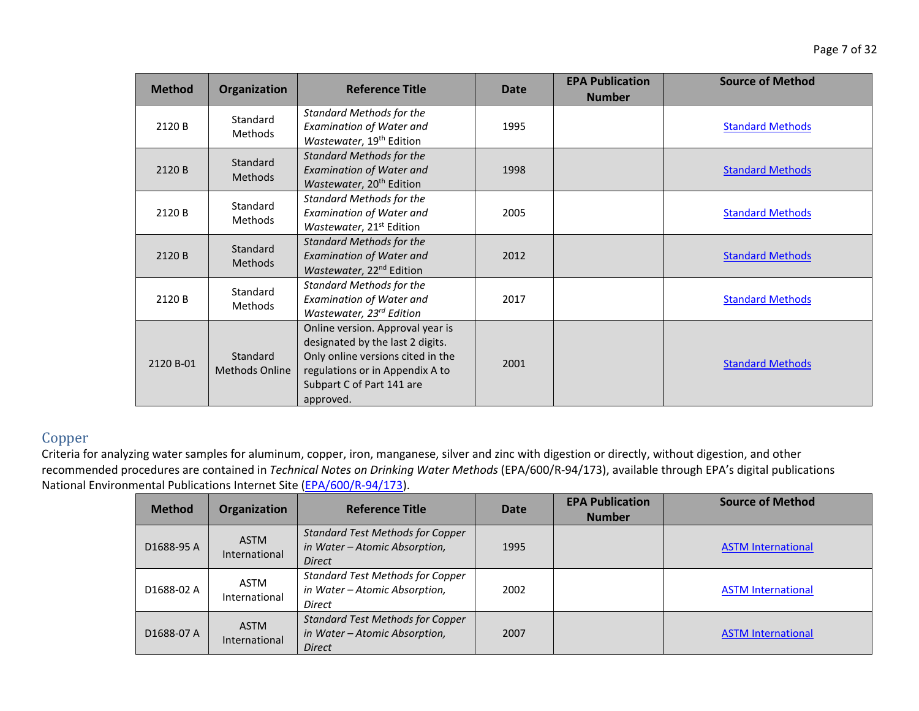| <b>Method</b> | Organization                      | <b>Reference Title</b>                                                                                                                                                                 | Date | <b>EPA Publication</b><br><b>Number</b> | <b>Source of Method</b> |
|---------------|-----------------------------------|----------------------------------------------------------------------------------------------------------------------------------------------------------------------------------------|------|-----------------------------------------|-------------------------|
| 2120 B        | Standard<br><b>Methods</b>        | <b>Standard Methods for the</b><br><b>Examination of Water and</b><br>Wastewater, 19 <sup>th</sup> Edition                                                                             | 1995 |                                         | <b>Standard Methods</b> |
| 2120 B        | Standard<br><b>Methods</b>        | <b>Standard Methods for the</b><br><b>Examination of Water and</b><br>Wastewater, 20 <sup>th</sup> Edition                                                                             | 1998 |                                         | <b>Standard Methods</b> |
| 2120 B        | Standard<br>Methods               | <b>Standard Methods for the</b><br><b>Examination of Water and</b><br>Wastewater, 21 <sup>st</sup> Edition                                                                             | 2005 |                                         | <b>Standard Methods</b> |
| 2120 B        | Standard<br><b>Methods</b>        | <b>Standard Methods for the</b><br><b>Examination of Water and</b><br>Wastewater, 22 <sup>nd</sup> Edition                                                                             | 2012 |                                         | <b>Standard Methods</b> |
| 2120 B        | Standard<br>Methods               | <b>Standard Methods for the</b><br><b>Examination of Water and</b><br>Wastewater, 23rd Edition                                                                                         | 2017 |                                         | <b>Standard Methods</b> |
| 2120 B-01     | Standard<br><b>Methods Online</b> | Online version. Approval year is<br>designated by the last 2 digits.<br>Only online versions cited in the<br>regulations or in Appendix A to<br>Subpart C of Part 141 are<br>approved. | 2001 |                                         | <b>Standard Methods</b> |

### Copper

| <b>Method</b> | Organization                 | <b>Reference Title</b>                                                                    | <b>Date</b> | <b>EPA Publication</b><br><b>Number</b> | <b>Source of Method</b>   |
|---------------|------------------------------|-------------------------------------------------------------------------------------------|-------------|-----------------------------------------|---------------------------|
| D1688-95 A    | <b>ASTM</b><br>International | <b>Standard Test Methods for Copper</b><br>in Water - Atomic Absorption,<br><b>Direct</b> | 1995        |                                         | <b>ASTM International</b> |
| D1688-02 A    | ASTM<br>International        | <b>Standard Test Methods for Copper</b><br>in Water - Atomic Absorption,<br><b>Direct</b> | 2002        |                                         | <b>ASTM International</b> |
| D1688-07 A    | <b>ASTM</b><br>International | <b>Standard Test Methods for Copper</b><br>in Water - Atomic Absorption,<br><b>Direct</b> | 2007        |                                         | <b>ASTM International</b> |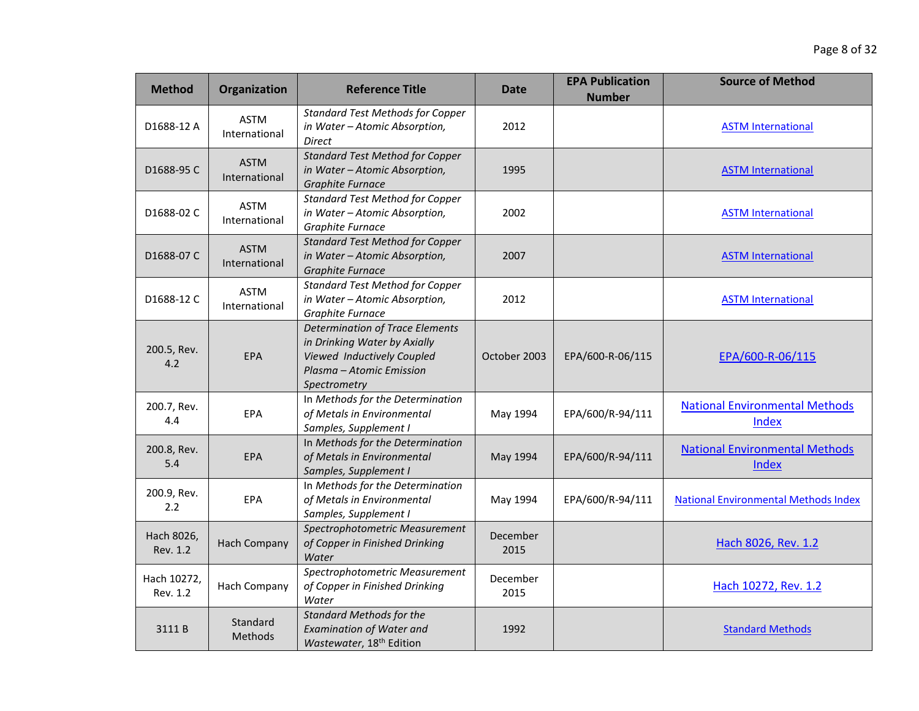| <b>Method</b>           | Organization                 | <b>Reference Title</b>                                                                                                                           | <b>Date</b>      | <b>EPA Publication</b><br><b>Number</b> | <b>Source of Method</b>                        |
|-------------------------|------------------------------|--------------------------------------------------------------------------------------------------------------------------------------------------|------------------|-----------------------------------------|------------------------------------------------|
| D1688-12 A              | <b>ASTM</b><br>International | <b>Standard Test Methods for Copper</b><br>in Water - Atomic Absorption,<br><b>Direct</b>                                                        | 2012             |                                         | <b>ASTM International</b>                      |
| D1688-95 C              | <b>ASTM</b><br>International | <b>Standard Test Method for Copper</b><br>in Water - Atomic Absorption,<br><b>Graphite Furnace</b>                                               | 1995             |                                         | <b>ASTM International</b>                      |
| D1688-02 C              | <b>ASTM</b><br>International | <b>Standard Test Method for Copper</b><br>in Water - Atomic Absorption,<br>Graphite Furnace                                                      | 2002             |                                         | <b>ASTM International</b>                      |
| D1688-07 C              | <b>ASTM</b><br>International | <b>Standard Test Method for Copper</b><br>in Water - Atomic Absorption,<br><b>Graphite Furnace</b>                                               | 2007             |                                         | <b>ASTM International</b>                      |
| D1688-12 C              | <b>ASTM</b><br>International | <b>Standard Test Method for Copper</b><br>in Water - Atomic Absorption,<br>Graphite Furnace                                                      | 2012             |                                         | <b>ASTM International</b>                      |
| 200.5, Rev.<br>4.2      | EPA                          | <b>Determination of Trace Elements</b><br>in Drinking Water by Axially<br>Viewed Inductively Coupled<br>Plasma - Atomic Emission<br>Spectrometry | October 2003     | EPA/600-R-06/115                        | EPA/600-R-06/115                               |
| 200.7, Rev.<br>4.4      | EPA                          | In Methods for the Determination<br>of Metals in Environmental<br>Samples, Supplement I                                                          | May 1994         | EPA/600/R-94/111                        | <b>National Environmental Methods</b><br>Index |
| 200.8, Rev.<br>5.4      | <b>EPA</b>                   | In Methods for the Determination<br>of Metals in Environmental<br>Samples, Supplement I                                                          | May 1994         | EPA/600/R-94/111                        | <b>National Environmental Methods</b><br>Index |
| 200.9, Rev.<br>2.2      | <b>EPA</b>                   | In Methods for the Determination<br>of Metals in Environmental<br>Samples, Supplement I                                                          | May 1994         | EPA/600/R-94/111                        | <b>National Environmental Methods Index</b>    |
| Hach 8026,<br>Rev. 1.2  | <b>Hach Company</b>          | Spectrophotometric Measurement<br>of Copper in Finished Drinking<br>Water                                                                        | December<br>2015 |                                         | Hach 8026, Rev. 1.2                            |
| Hach 10272,<br>Rev. 1.2 | Hach Company                 | Spectrophotometric Measurement<br>of Copper in Finished Drinking<br>Water                                                                        | December<br>2015 |                                         | Hach 10272, Rev. 1.2                           |
| 3111B                   | Standard<br>Methods          | <b>Standard Methods for the</b><br><b>Examination of Water and</b><br>Wastewater, 18 <sup>th</sup> Edition                                       | 1992             |                                         | <b>Standard Methods</b>                        |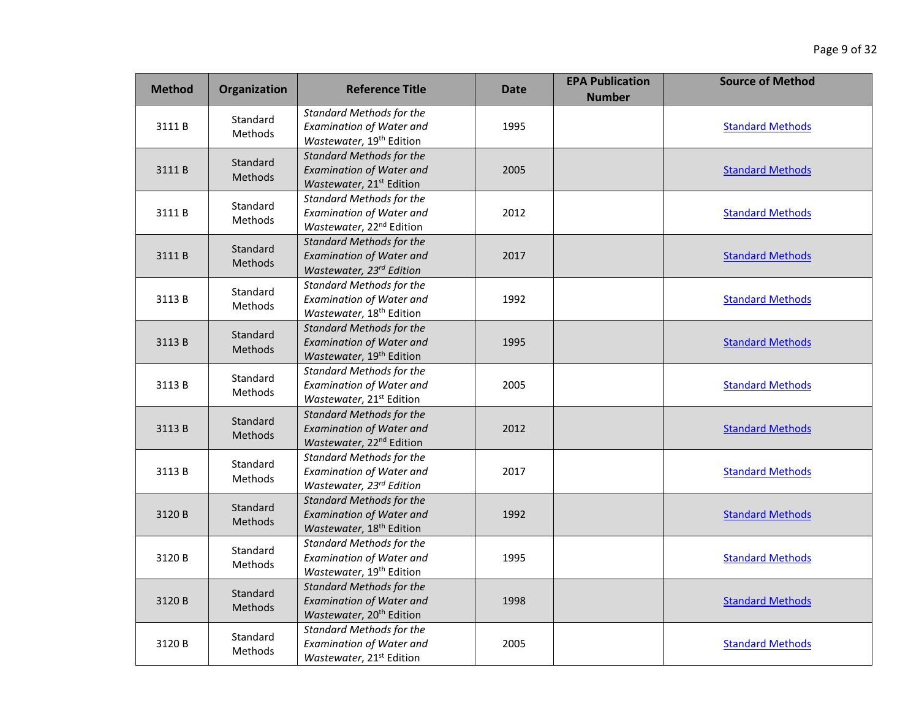| <b>Method</b> | Organization               | <b>Reference Title</b>                                                                                     | Date | <b>EPA Publication</b><br><b>Number</b> | <b>Source of Method</b> |
|---------------|----------------------------|------------------------------------------------------------------------------------------------------------|------|-----------------------------------------|-------------------------|
| 3111B         | Standard<br><b>Methods</b> | <b>Standard Methods for the</b><br><b>Examination of Water and</b><br>Wastewater, 19 <sup>th</sup> Edition | 1995 |                                         | <b>Standard Methods</b> |
| 3111B         | Standard<br>Methods        | <b>Standard Methods for the</b><br><b>Examination of Water and</b><br>Wastewater, 21 <sup>st</sup> Edition | 2005 |                                         | <b>Standard Methods</b> |
| 3111B         | Standard<br>Methods        | <b>Standard Methods for the</b><br><b>Examination of Water and</b><br>Wastewater, 22 <sup>nd</sup> Edition | 2012 |                                         | <b>Standard Methods</b> |
| 3111B         | Standard<br>Methods        | <b>Standard Methods for the</b><br><b>Examination of Water and</b><br>Wastewater, 23rd Edition             | 2017 |                                         | <b>Standard Methods</b> |
| 3113B         | Standard<br>Methods        | <b>Standard Methods for the</b><br><b>Examination of Water and</b><br>Wastewater, 18 <sup>th</sup> Edition | 1992 |                                         | <b>Standard Methods</b> |
| 3113B         | Standard<br>Methods        | <b>Standard Methods for the</b><br><b>Examination of Water and</b><br>Wastewater, 19 <sup>th</sup> Edition | 1995 |                                         | <b>Standard Methods</b> |
| 3113B         | Standard<br><b>Methods</b> | <b>Standard Methods for the</b><br><b>Examination of Water and</b><br>Wastewater, 21 <sup>st</sup> Edition | 2005 |                                         | <b>Standard Methods</b> |
| 3113B         | Standard<br>Methods        | <b>Standard Methods for the</b><br><b>Examination of Water and</b><br>Wastewater, 22 <sup>nd</sup> Edition | 2012 |                                         | <b>Standard Methods</b> |
| 3113B         | Standard<br>Methods        | <b>Standard Methods for the</b><br><b>Examination of Water and</b><br>Wastewater, 23rd Edition             | 2017 |                                         | <b>Standard Methods</b> |
| 3120B         | Standard<br><b>Methods</b> | <b>Standard Methods for the</b><br><b>Examination of Water and</b><br>Wastewater, 18 <sup>th</sup> Edition | 1992 |                                         | <b>Standard Methods</b> |
| 3120B         | Standard<br><b>Methods</b> | <b>Standard Methods for the</b><br><b>Examination of Water and</b><br>Wastewater, 19 <sup>th</sup> Edition | 1995 |                                         | <b>Standard Methods</b> |
| 3120B         | Standard<br><b>Methods</b> | <b>Standard Methods for the</b><br><b>Examination of Water and</b><br>Wastewater, 20 <sup>th</sup> Edition | 1998 |                                         | <b>Standard Methods</b> |
| 3120 B        | Standard<br>Methods        | <b>Standard Methods for the</b><br><b>Examination of Water and</b><br>Wastewater, 21 <sup>st</sup> Edition | 2005 |                                         | <b>Standard Methods</b> |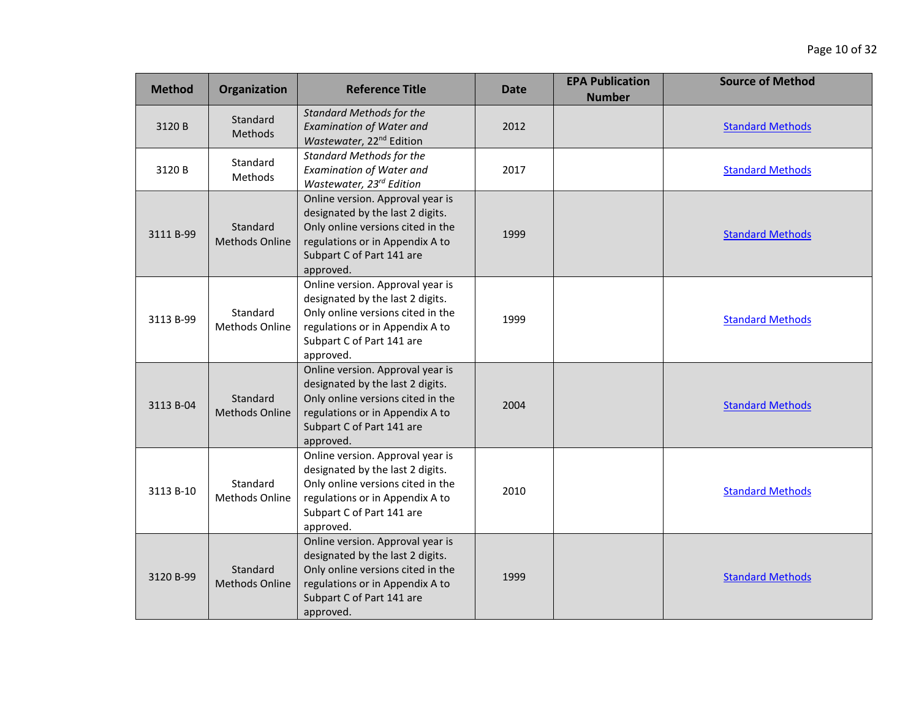| <b>Method</b> | Organization                      | <b>Reference Title</b>                                                                                                                                                                 | Date | <b>EPA Publication</b><br><b>Number</b> | <b>Source of Method</b> |
|---------------|-----------------------------------|----------------------------------------------------------------------------------------------------------------------------------------------------------------------------------------|------|-----------------------------------------|-------------------------|
| 3120 B        | Standard<br>Methods               | <b>Standard Methods for the</b><br><b>Examination of Water and</b><br>Wastewater, 22 <sup>nd</sup> Edition                                                                             | 2012 |                                         | <b>Standard Methods</b> |
| 3120 B        | Standard<br>Methods               | <b>Standard Methods for the</b><br><b>Examination of Water and</b><br>Wastewater, 23rd Edition                                                                                         | 2017 |                                         | <b>Standard Methods</b> |
| 3111 B-99     | Standard<br><b>Methods Online</b> | Online version. Approval year is<br>designated by the last 2 digits.<br>Only online versions cited in the<br>regulations or in Appendix A to<br>Subpart C of Part 141 are<br>approved. | 1999 |                                         | <b>Standard Methods</b> |
| 3113 B-99     | Standard<br><b>Methods Online</b> | Online version. Approval year is<br>designated by the last 2 digits.<br>Only online versions cited in the<br>regulations or in Appendix A to<br>Subpart C of Part 141 are<br>approved. | 1999 |                                         | <b>Standard Methods</b> |
| 3113 B-04     | Standard<br><b>Methods Online</b> | Online version. Approval year is<br>designated by the last 2 digits.<br>Only online versions cited in the<br>regulations or in Appendix A to<br>Subpart C of Part 141 are<br>approved. | 2004 |                                         | <b>Standard Methods</b> |
| 3113 B-10     | Standard<br><b>Methods Online</b> | Online version. Approval year is<br>designated by the last 2 digits.<br>Only online versions cited in the<br>regulations or in Appendix A to<br>Subpart C of Part 141 are<br>approved. | 2010 |                                         | <b>Standard Methods</b> |
| 3120 B-99     | Standard<br><b>Methods Online</b> | Online version. Approval year is<br>designated by the last 2 digits.<br>Only online versions cited in the<br>regulations or in Appendix A to<br>Subpart C of Part 141 are<br>approved. | 1999 |                                         | <b>Standard Methods</b> |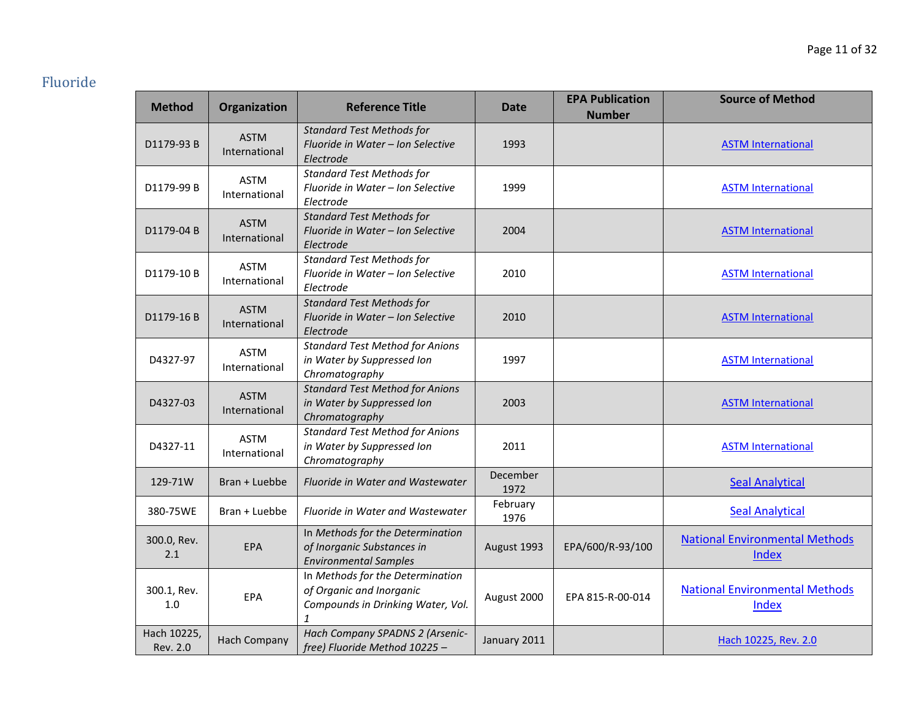# Fluoride

| <b>Method</b>           | Organization                 | <b>Reference Title</b>                                                                                            | <b>Date</b>      | <b>EPA Publication</b><br><b>Number</b> | <b>Source of Method</b>                        |
|-------------------------|------------------------------|-------------------------------------------------------------------------------------------------------------------|------------------|-----------------------------------------|------------------------------------------------|
| D1179-93 B              | <b>ASTM</b><br>International | <b>Standard Test Methods for</b><br>Fluoride in Water - Ion Selective<br>Electrode                                | 1993             |                                         | <b>ASTM International</b>                      |
| D1179-99 B              | <b>ASTM</b><br>International | <b>Standard Test Methods for</b><br>Fluoride in Water - Ion Selective<br>Electrode                                | 1999             |                                         | <b>ASTM International</b>                      |
| D1179-04 B              | <b>ASTM</b><br>International | <b>Standard Test Methods for</b><br>Fluoride in Water - Ion Selective<br>Electrode                                | 2004             |                                         | <b>ASTM International</b>                      |
| D1179-10 B              | <b>ASTM</b><br>International | <b>Standard Test Methods for</b><br>Fluoride in Water - Ion Selective<br>Electrode                                | 2010             |                                         | <b>ASTM International</b>                      |
| D1179-16B               | <b>ASTM</b><br>International | <b>Standard Test Methods for</b><br>Fluoride in Water - Ion Selective<br>Electrode                                | 2010             |                                         | <b>ASTM International</b>                      |
| D4327-97                | <b>ASTM</b><br>International | <b>Standard Test Method for Anions</b><br>in Water by Suppressed Ion<br>Chromatography                            | 1997             |                                         | <b>ASTM International</b>                      |
| D4327-03                | <b>ASTM</b><br>International | <b>Standard Test Method for Anions</b><br>in Water by Suppressed Ion<br>Chromatography                            | 2003             |                                         | <b>ASTM International</b>                      |
| D4327-11                | <b>ASTM</b><br>International | <b>Standard Test Method for Anions</b><br>in Water by Suppressed Ion<br>Chromatography                            | 2011             |                                         | <b>ASTM International</b>                      |
| 129-71W                 | Bran + Luebbe                | Fluoride in Water and Wastewater                                                                                  | December<br>1972 |                                         | <b>Seal Analytical</b>                         |
| 380-75WE                | Bran + Luebbe                | Fluoride in Water and Wastewater                                                                                  | February<br>1976 |                                         | <b>Seal Analytical</b>                         |
| 300.0, Rev.<br>2.1      | EPA                          | In Methods for the Determination<br>of Inorganic Substances in<br><b>Environmental Samples</b>                    | August 1993      | EPA/600/R-93/100                        | <b>National Environmental Methods</b><br>Index |
| 300.1, Rev.<br>1.0      | EPA                          | In Methods for the Determination<br>of Organic and Inorganic<br>Compounds in Drinking Water, Vol.<br>$\mathbf{1}$ | August 2000      | EPA 815-R-00-014                        | <b>National Environmental Methods</b><br>Index |
| Hach 10225,<br>Rev. 2.0 | <b>Hach Company</b>          | Hach Company SPADNS 2 (Arsenic-<br>free) Fluoride Method 10225 -                                                  | January 2011     |                                         | Hach 10225, Rev. 2.0                           |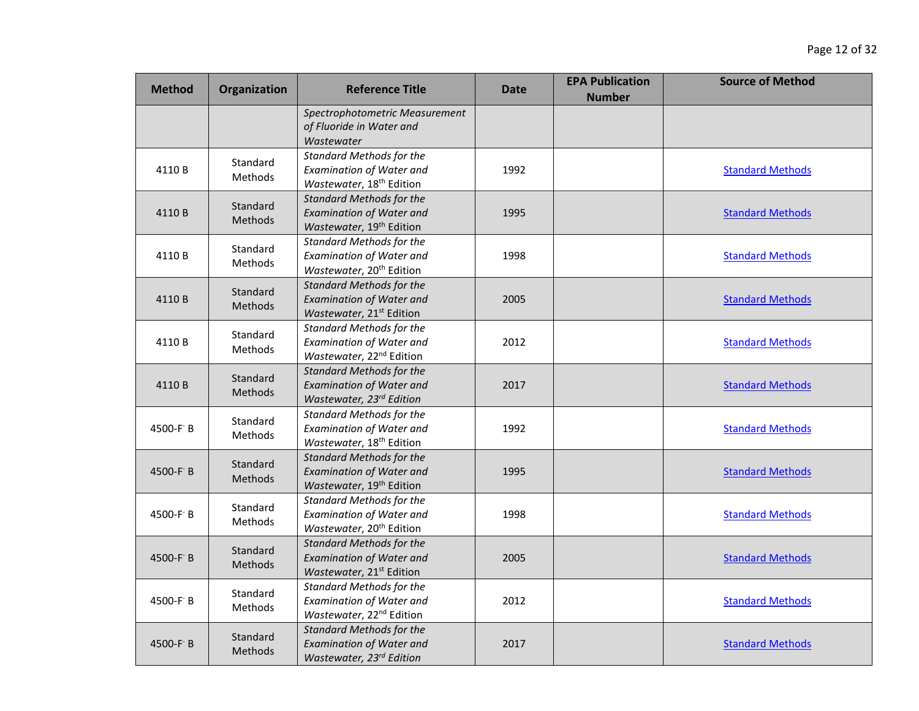| <b>Method</b> | Organization               | <b>Reference Title</b>                                                                                     | <b>Date</b> | <b>EPA Publication</b><br><b>Number</b> | <b>Source of Method</b> |
|---------------|----------------------------|------------------------------------------------------------------------------------------------------------|-------------|-----------------------------------------|-------------------------|
|               |                            | Spectrophotometric Measurement<br>of Fluoride in Water and<br>Wastewater                                   |             |                                         |                         |
| 4110B         | Standard<br>Methods        | <b>Standard Methods for the</b><br>Examination of Water and<br>Wastewater, 18 <sup>th</sup> Edition        | 1992        |                                         | <b>Standard Methods</b> |
| 4110 B        | Standard<br><b>Methods</b> | <b>Standard Methods for the</b><br><b>Examination of Water and</b><br>Wastewater, 19 <sup>th</sup> Edition | 1995        |                                         | <b>Standard Methods</b> |
| 4110 B        | Standard<br>Methods        | <b>Standard Methods for the</b><br><b>Examination of Water and</b><br>Wastewater, 20 <sup>th</sup> Edition | 1998        |                                         | <b>Standard Methods</b> |
| 4110B         | Standard<br><b>Methods</b> | <b>Standard Methods for the</b><br><b>Examination of Water and</b><br>Wastewater, 21 <sup>st</sup> Edition | 2005        |                                         | <b>Standard Methods</b> |
| 4110 B        | Standard<br><b>Methods</b> | <b>Standard Methods for the</b><br><b>Examination of Water and</b><br>Wastewater, 22 <sup>nd</sup> Edition | 2012        |                                         | <b>Standard Methods</b> |
| 4110B         | Standard<br>Methods        | <b>Standard Methods for the</b><br><b>Examination of Water and</b><br>Wastewater, 23rd Edition             | 2017        |                                         | <b>Standard Methods</b> |
| 4500-F B      | Standard<br><b>Methods</b> | <b>Standard Methods for the</b><br><b>Examination of Water and</b><br>Wastewater, 18 <sup>th</sup> Edition | 1992        |                                         | <b>Standard Methods</b> |
| 4500-F B      | Standard<br>Methods        | <b>Standard Methods for the</b><br><b>Examination of Water and</b><br>Wastewater, 19 <sup>th</sup> Edition | 1995        |                                         | <b>Standard Methods</b> |
| 4500-F B      | Standard<br>Methods        | <b>Standard Methods for the</b><br><b>Examination of Water and</b><br>Wastewater, 20 <sup>th</sup> Edition | 1998        |                                         | <b>Standard Methods</b> |
| 4500-F B      | Standard<br>Methods        | <b>Standard Methods for the</b><br><b>Examination of Water and</b><br>Wastewater, 21 <sup>st</sup> Edition | 2005        |                                         | <b>Standard Methods</b> |
| 4500-F B      | Standard<br><b>Methods</b> | <b>Standard Methods for the</b><br>Examination of Water and<br>Wastewater, 22 <sup>nd</sup> Edition        | 2012        |                                         | <b>Standard Methods</b> |
| 4500-F B      | Standard<br>Methods        | <b>Standard Methods for the</b><br><b>Examination of Water and</b><br>Wastewater, 23rd Edition             | 2017        |                                         | <b>Standard Methods</b> |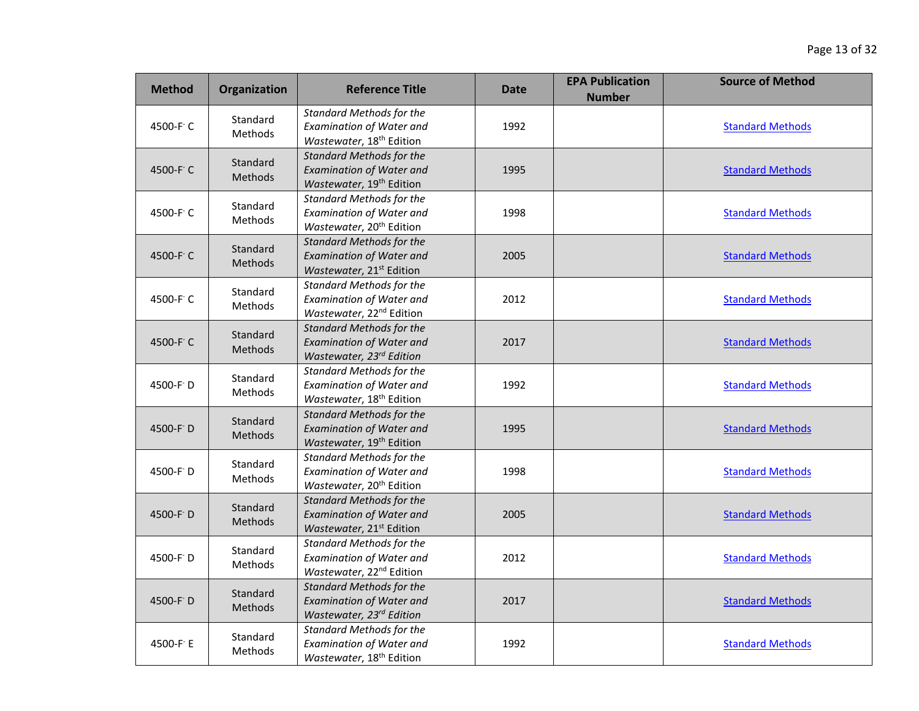| <b>Method</b> | Organization        | <b>Reference Title</b>                                                                                     | <b>Date</b> | <b>EPA Publication</b><br><b>Number</b> | <b>Source of Method</b> |
|---------------|---------------------|------------------------------------------------------------------------------------------------------------|-------------|-----------------------------------------|-------------------------|
| 4500-F C      | Standard<br>Methods | <b>Standard Methods for the</b><br>Examination of Water and<br>Wastewater, 18 <sup>th</sup> Edition        | 1992        |                                         | <b>Standard Methods</b> |
| 4500-F C      | Standard<br>Methods | <b>Standard Methods for the</b><br><b>Examination of Water and</b><br>Wastewater, 19 <sup>th</sup> Edition | 1995        |                                         | <b>Standard Methods</b> |
| 4500-F C      | Standard<br>Methods | <b>Standard Methods for the</b><br><b>Examination of Water and</b><br>Wastewater, 20 <sup>th</sup> Edition | 1998        |                                         | <b>Standard Methods</b> |
| 4500-F C      | Standard<br>Methods | <b>Standard Methods for the</b><br><b>Examination of Water and</b><br>Wastewater, 21 <sup>st</sup> Edition | 2005        |                                         | <b>Standard Methods</b> |
| 4500-F C      | Standard<br>Methods | <b>Standard Methods for the</b><br><b>Examination of Water and</b><br>Wastewater, 22 <sup>nd</sup> Edition | 2012        |                                         | <b>Standard Methods</b> |
| 4500-F C      | Standard<br>Methods | <b>Standard Methods for the</b><br><b>Examination of Water and</b><br>Wastewater, 23 <sup>rd</sup> Edition | 2017        |                                         | <b>Standard Methods</b> |
| 4500-F D      | Standard<br>Methods | <b>Standard Methods for the</b><br><b>Examination of Water and</b><br>Wastewater, 18 <sup>th</sup> Edition | 1992        |                                         | <b>Standard Methods</b> |
| 4500-F D      | Standard<br>Methods | <b>Standard Methods for the</b><br><b>Examination of Water and</b><br>Wastewater, 19 <sup>th</sup> Edition | 1995        |                                         | <b>Standard Methods</b> |
| 4500-F D      | Standard<br>Methods | <b>Standard Methods for the</b><br><b>Examination of Water and</b><br>Wastewater, 20 <sup>th</sup> Edition | 1998        |                                         | <b>Standard Methods</b> |
| 4500-F D      | Standard<br>Methods | <b>Standard Methods for the</b><br><b>Examination of Water and</b><br>Wastewater, 21 <sup>st</sup> Edition | 2005        |                                         | <b>Standard Methods</b> |
| 4500-F D      | Standard<br>Methods | <b>Standard Methods for the</b><br><b>Examination of Water and</b><br>Wastewater, 22 <sup>nd</sup> Edition | 2012        |                                         | <b>Standard Methods</b> |
| 4500-F D      | Standard<br>Methods | <b>Standard Methods for the</b><br><b>Examination of Water and</b><br>Wastewater, 23rd Edition             | 2017        |                                         | <b>Standard Methods</b> |
| 4500-F E      | Standard<br>Methods | <b>Standard Methods for the</b><br><b>Examination of Water and</b><br>Wastewater, 18 <sup>th</sup> Edition | 1992        |                                         | <b>Standard Methods</b> |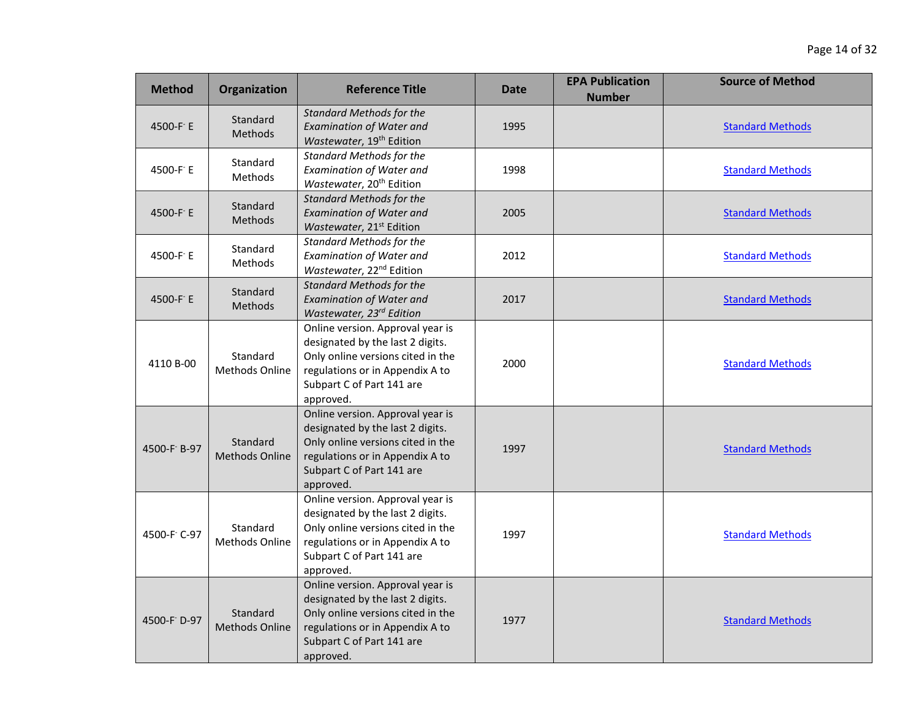| <b>Method</b> | Organization                      | <b>Reference Title</b>                                                                                                                                                                 | <b>Date</b> | <b>EPA Publication</b><br><b>Number</b> | <b>Source of Method</b> |
|---------------|-----------------------------------|----------------------------------------------------------------------------------------------------------------------------------------------------------------------------------------|-------------|-----------------------------------------|-------------------------|
| 4500-F E      | Standard<br><b>Methods</b>        | <b>Standard Methods for the</b><br><b>Examination of Water and</b><br>Wastewater, 19 <sup>th</sup> Edition                                                                             | 1995        |                                         | <b>Standard Methods</b> |
| 4500-F E      | Standard<br>Methods               | <b>Standard Methods for the</b><br><b>Examination of Water and</b><br>Wastewater, 20 <sup>th</sup> Edition                                                                             | 1998        |                                         | <b>Standard Methods</b> |
| 4500-F E      | Standard<br><b>Methods</b>        | <b>Standard Methods for the</b><br><b>Examination of Water and</b><br>Wastewater, 21 <sup>st</sup> Edition                                                                             | 2005        |                                         | <b>Standard Methods</b> |
| 4500-F E      | Standard<br><b>Methods</b>        | <b>Standard Methods for the</b><br><b>Examination of Water and</b><br>Wastewater, 22 <sup>nd</sup> Edition                                                                             | 2012        |                                         | <b>Standard Methods</b> |
| 4500-F E      | Standard<br><b>Methods</b>        | <b>Standard Methods for the</b><br><b>Examination of Water and</b><br>Wastewater, 23rd Edition                                                                                         | 2017        |                                         | <b>Standard Methods</b> |
| 4110 B-00     | Standard<br>Methods Online        | Online version. Approval year is<br>designated by the last 2 digits.<br>Only online versions cited in the<br>regulations or in Appendix A to<br>Subpart C of Part 141 are<br>approved. | 2000        |                                         | <b>Standard Methods</b> |
| 4500-F B-97   | Standard<br><b>Methods Online</b> | Online version. Approval year is<br>designated by the last 2 digits.<br>Only online versions cited in the<br>regulations or in Appendix A to<br>Subpart C of Part 141 are<br>approved. | 1997        |                                         | <b>Standard Methods</b> |
| 4500-F C-97   | Standard<br><b>Methods Online</b> | Online version. Approval year is<br>designated by the last 2 digits.<br>Only online versions cited in the<br>regulations or in Appendix A to<br>Subpart C of Part 141 are<br>approved. | 1997        |                                         | <b>Standard Methods</b> |
| 4500-F D-97   | Standard<br><b>Methods Online</b> | Online version. Approval year is<br>designated by the last 2 digits.<br>Only online versions cited in the<br>regulations or in Appendix A to<br>Subpart C of Part 141 are<br>approved. | 1977        |                                         | <b>Standard Methods</b> |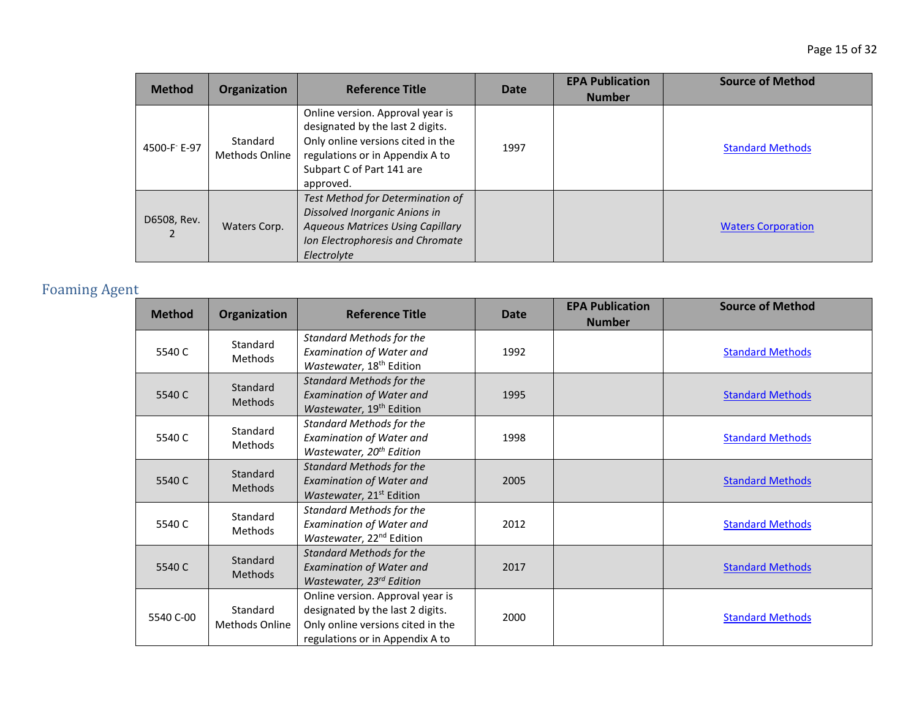| <b>Method</b> | Organization                      | <b>Reference Title</b>                                                                                                                                                                 | <b>Date</b> | <b>EPA Publication</b><br><b>Number</b> | <b>Source of Method</b>   |
|---------------|-----------------------------------|----------------------------------------------------------------------------------------------------------------------------------------------------------------------------------------|-------------|-----------------------------------------|---------------------------|
| 4500-F E-97   | Standard<br><b>Methods Online</b> | Online version. Approval year is<br>designated by the last 2 digits.<br>Only online versions cited in the<br>regulations or in Appendix A to<br>Subpart C of Part 141 are<br>approved. | 1997        |                                         | <b>Standard Methods</b>   |
| D6508, Rev.   | Waters Corp.                      | Test Method for Determination of<br>Dissolved Inorganic Anions in<br><b>Aqueous Matrices Using Capillary</b><br>Ion Electrophoresis and Chromate<br>Electrolyte                        |             |                                         | <b>Waters Corporation</b> |

# Foaming Agent

| <b>Method</b> | Organization                      | <b>Reference Title</b>                                                                                                                       | Date | <b>EPA Publication</b><br><b>Number</b> | <b>Source of Method</b> |
|---------------|-----------------------------------|----------------------------------------------------------------------------------------------------------------------------------------------|------|-----------------------------------------|-------------------------|
| 5540 C        | Standard<br>Methods               | <b>Standard Methods for the</b><br><b>Examination of Water and</b><br>Wastewater, 18 <sup>th</sup> Edition                                   | 1992 |                                         | <b>Standard Methods</b> |
| 5540 C        | Standard<br><b>Methods</b>        | <b>Standard Methods for the</b><br><b>Examination of Water and</b><br>Wastewater, 19 <sup>th</sup> Edition                                   | 1995 |                                         | <b>Standard Methods</b> |
| 5540 C        | Standard<br>Methods               | <b>Standard Methods for the</b><br><b>Examination of Water and</b><br>Wastewater, 20 <sup>th</sup> Edition                                   | 1998 |                                         | <b>Standard Methods</b> |
| 5540 C        | Standard<br><b>Methods</b>        | <b>Standard Methods for the</b><br><b>Examination of Water and</b><br>Wastewater, 21 <sup>st</sup> Edition                                   | 2005 |                                         | <b>Standard Methods</b> |
| 5540 C        | Standard<br>Methods               | <b>Standard Methods for the</b><br><b>Examination of Water and</b><br>Wastewater, 22 <sup>nd</sup> Edition                                   | 2012 |                                         | <b>Standard Methods</b> |
| 5540 C        | Standard<br><b>Methods</b>        | <b>Standard Methods for the</b><br><b>Examination of Water and</b><br>Wastewater, 23rd Edition                                               | 2017 |                                         | <b>Standard Methods</b> |
| 5540 C-00     | Standard<br><b>Methods Online</b> | Online version. Approval year is<br>designated by the last 2 digits.<br>Only online versions cited in the<br>regulations or in Appendix A to | 2000 |                                         | <b>Standard Methods</b> |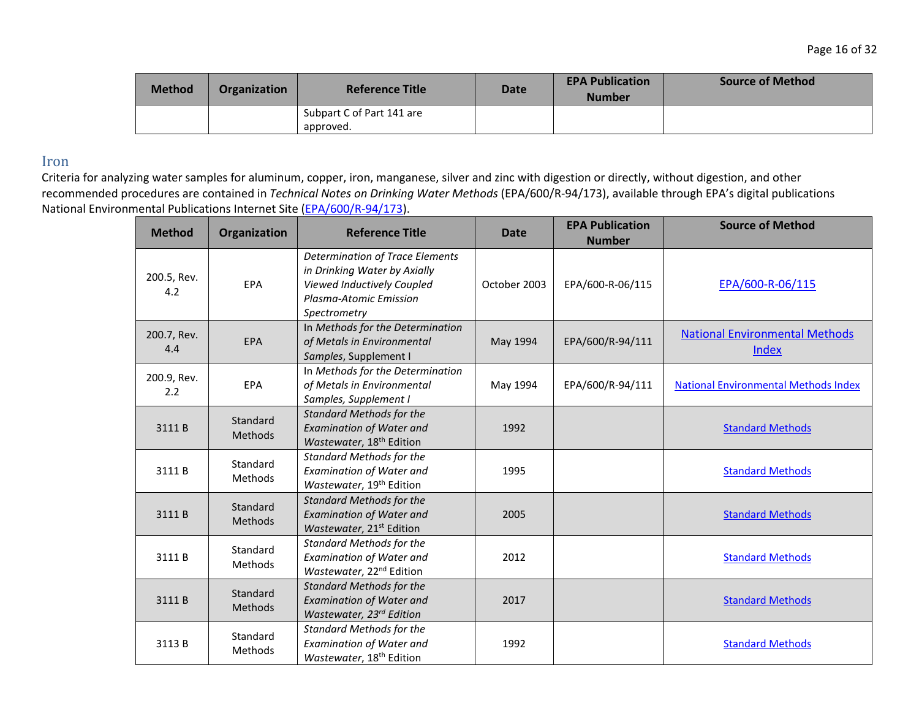| <b>Method</b> | <b>Organization</b> | <b>Reference Title</b>    | Date | <b>EPA Publication</b><br><b>Number</b> | <b>Source of Method</b> |
|---------------|---------------------|---------------------------|------|-----------------------------------------|-------------------------|
|               |                     | Subpart C of Part 141 are |      |                                         |                         |
|               |                     | approved.                 |      |                                         |                         |

#### Iron

| <b>Method</b>      | Organization               | <b>Reference Title</b>                                                                                                                         | <b>Date</b>  | <b>EPA Publication</b><br><b>Number</b> | <b>Source of Method</b>                        |
|--------------------|----------------------------|------------------------------------------------------------------------------------------------------------------------------------------------|--------------|-----------------------------------------|------------------------------------------------|
| 200.5, Rev.<br>4.2 | EPA                        | <b>Determination of Trace Elements</b><br>in Drinking Water by Axially<br>Viewed Inductively Coupled<br>Plasma-Atomic Emission<br>Spectrometry | October 2003 | EPA/600-R-06/115                        | EPA/600-R-06/115                               |
| 200.7, Rev.<br>4.4 | <b>EPA</b>                 | In Methods for the Determination<br>of Metals in Environmental<br>Samples, Supplement I                                                        | May 1994     | EPA/600/R-94/111                        | <b>National Environmental Methods</b><br>Index |
| 200.9, Rev.<br>2.2 | EPA                        | In Methods for the Determination<br>of Metals in Environmental<br>Samples, Supplement I                                                        | May 1994     | EPA/600/R-94/111                        | <b>National Environmental Methods Index</b>    |
| 3111B              | Standard<br><b>Methods</b> | <b>Standard Methods for the</b><br><b>Examination of Water and</b><br>Wastewater, 18 <sup>th</sup> Edition                                     | 1992         |                                         | <b>Standard Methods</b>                        |
| 3111B              | Standard<br>Methods        | <b>Standard Methods for the</b><br><b>Examination of Water and</b><br>Wastewater, 19 <sup>th</sup> Edition                                     | 1995         |                                         | <b>Standard Methods</b>                        |
| 3111B              | Standard<br><b>Methods</b> | <b>Standard Methods for the</b><br><b>Examination of Water and</b><br>Wastewater, 21 <sup>st</sup> Edition                                     | 2005         |                                         | <b>Standard Methods</b>                        |
| 3111B              | Standard<br><b>Methods</b> | <b>Standard Methods for the</b><br>Examination of Water and<br>Wastewater, 22 <sup>nd</sup> Edition                                            | 2012         |                                         | <b>Standard Methods</b>                        |
| 3111B              | Standard<br><b>Methods</b> | <b>Standard Methods for the</b><br><b>Examination of Water and</b><br>Wastewater, 23rd Edition                                                 | 2017         |                                         | <b>Standard Methods</b>                        |
| 3113B              | Standard<br>Methods        | <b>Standard Methods for the</b><br><b>Examination of Water and</b><br>Wastewater, 18 <sup>th</sup> Edition                                     | 1992         |                                         | <b>Standard Methods</b>                        |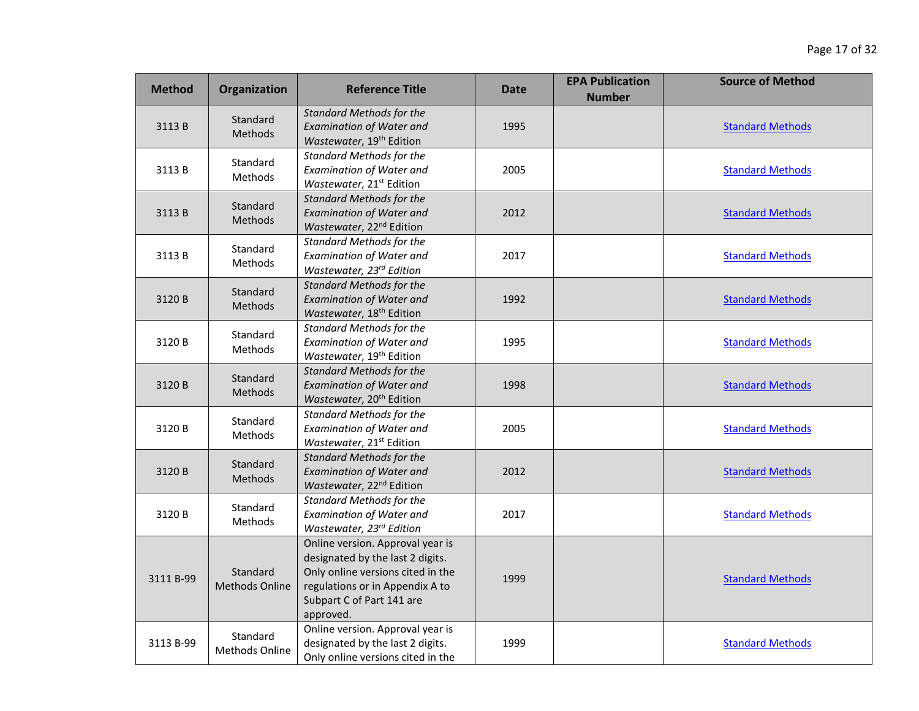| <b>Method</b> | Organization                      | <b>Reference Title</b>                                                                                                                                                                 | <b>Date</b> | <b>EPA Publication</b><br><b>Number</b> | <b>Source of Method</b> |
|---------------|-----------------------------------|----------------------------------------------------------------------------------------------------------------------------------------------------------------------------------------|-------------|-----------------------------------------|-------------------------|
| 3113B         | Standard<br><b>Methods</b>        | <b>Standard Methods for the</b><br><b>Examination of Water and</b><br>Wastewater, 19 <sup>th</sup> Edition                                                                             | 1995        |                                         | <b>Standard Methods</b> |
| 3113B         | Standard<br>Methods               | <b>Standard Methods for the</b><br><b>Examination of Water and</b><br>Wastewater, 21 <sup>st</sup> Edition                                                                             | 2005        |                                         | <b>Standard Methods</b> |
| 3113 B        | Standard<br>Methods               | <b>Standard Methods for the</b><br><b>Examination of Water and</b><br>Wastewater, 22 <sup>nd</sup> Edition                                                                             | 2012        |                                         | <b>Standard Methods</b> |
| 3113 B        | Standard<br>Methods               | Standard Methods for the<br><b>Examination of Water and</b><br>Wastewater, 23rd Edition                                                                                                | 2017        |                                         | <b>Standard Methods</b> |
| 3120 B        | Standard<br><b>Methods</b>        | <b>Standard Methods for the</b><br><b>Examination of Water and</b><br>Wastewater, 18 <sup>th</sup> Edition                                                                             | 1992        |                                         | <b>Standard Methods</b> |
| 3120 B        | Standard<br>Methods               | <b>Standard Methods for the</b><br><b>Examination of Water and</b><br>Wastewater, 19 <sup>th</sup> Edition                                                                             | 1995        |                                         | <b>Standard Methods</b> |
| 3120 B        | Standard<br><b>Methods</b>        | <b>Standard Methods for the</b><br><b>Examination of Water and</b><br>Wastewater, 20 <sup>th</sup> Edition                                                                             | 1998        |                                         | <b>Standard Methods</b> |
| 3120 B        | Standard<br>Methods               | <b>Standard Methods for the</b><br><b>Examination of Water and</b><br>Wastewater, 21 <sup>st</sup> Edition                                                                             | 2005        |                                         | <b>Standard Methods</b> |
| 3120 B        | Standard<br>Methods               | <b>Standard Methods for the</b><br><b>Examination of Water and</b><br>Wastewater, 22 <sup>nd</sup> Edition                                                                             | 2012        |                                         | <b>Standard Methods</b> |
| 3120 B        | Standard<br>Methods               | <b>Standard Methods for the</b><br><b>Examination of Water and</b><br>Wastewater, 23rd Edition                                                                                         | 2017        |                                         | <b>Standard Methods</b> |
| 3111 B-99     | Standard<br><b>Methods Online</b> | Online version. Approval year is<br>designated by the last 2 digits.<br>Only online versions cited in the<br>regulations or in Appendix A to<br>Subpart C of Part 141 are<br>approved. | 1999        |                                         | <b>Standard Methods</b> |
| 3113 B-99     | Standard<br>Methods Online        | Online version. Approval year is<br>designated by the last 2 digits.<br>Only online versions cited in the                                                                              | 1999        |                                         | <b>Standard Methods</b> |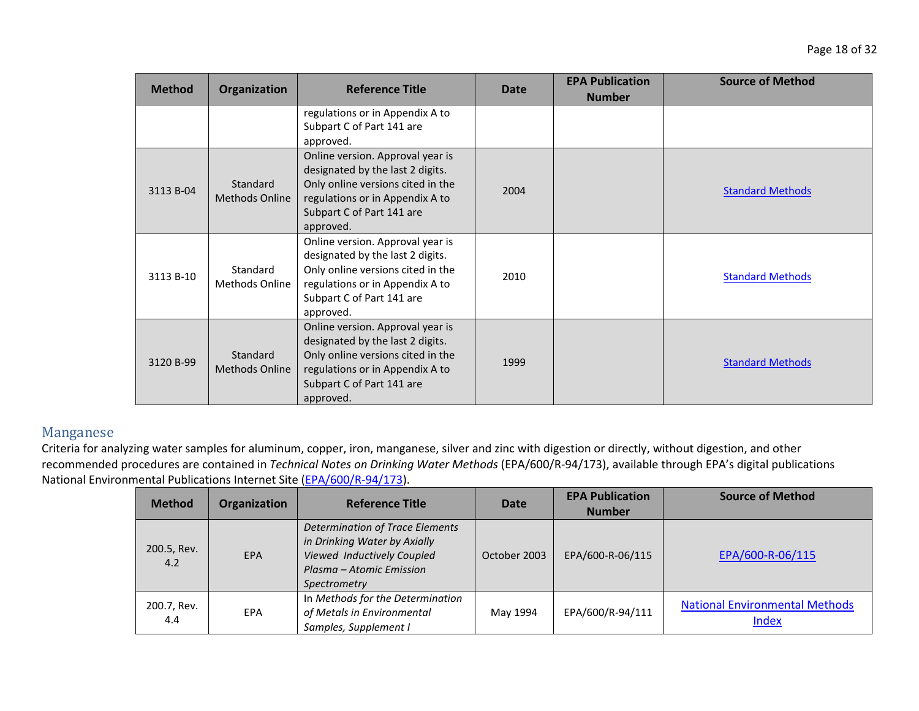| <b>Method</b> | Organization                      | <b>Reference Title</b>                                                                                                                                                                 | Date | <b>EPA Publication</b><br><b>Number</b> | <b>Source of Method</b> |
|---------------|-----------------------------------|----------------------------------------------------------------------------------------------------------------------------------------------------------------------------------------|------|-----------------------------------------|-------------------------|
|               |                                   | regulations or in Appendix A to<br>Subpart C of Part 141 are<br>approved.                                                                                                              |      |                                         |                         |
| 3113 B-04     | Standard<br><b>Methods Online</b> | Online version. Approval year is<br>designated by the last 2 digits.<br>Only online versions cited in the<br>regulations or in Appendix A to<br>Subpart C of Part 141 are<br>approved. | 2004 |                                         | <b>Standard Methods</b> |
| 3113 B-10     | Standard<br>Methods Online        | Online version. Approval year is<br>designated by the last 2 digits.<br>Only online versions cited in the<br>regulations or in Appendix A to<br>Subpart C of Part 141 are<br>approved. | 2010 |                                         | <b>Standard Methods</b> |
| 3120 B-99     | Standard<br><b>Methods Online</b> | Online version. Approval year is<br>designated by the last 2 digits.<br>Only online versions cited in the<br>regulations or in Appendix A to<br>Subpart C of Part 141 are<br>approved. | 1999 |                                         | <b>Standard Methods</b> |

### Manganese

| <b>Method</b>      | Organization | <b>Reference Title</b>                                                                                                                           | <b>Date</b>  | <b>EPA Publication</b><br><b>Number</b> | <b>Source of Method</b>                               |
|--------------------|--------------|--------------------------------------------------------------------------------------------------------------------------------------------------|--------------|-----------------------------------------|-------------------------------------------------------|
| 200.5, Rev.<br>4.2 | <b>EPA</b>   | <b>Determination of Trace Elements</b><br>in Drinking Water by Axially<br>Viewed Inductively Coupled<br>Plasma – Atomic Emission<br>Spectrometry | October 2003 | EPA/600-R-06/115                        | EPA/600-R-06/115                                      |
| 200.7, Rev.<br>4.4 | <b>EPA</b>   | In Methods for the Determination<br>of Metals in Environmental<br>Samples, Supplement I                                                          | May 1994     | EPA/600/R-94/111                        | <b>National Environmental Methods</b><br><b>Index</b> |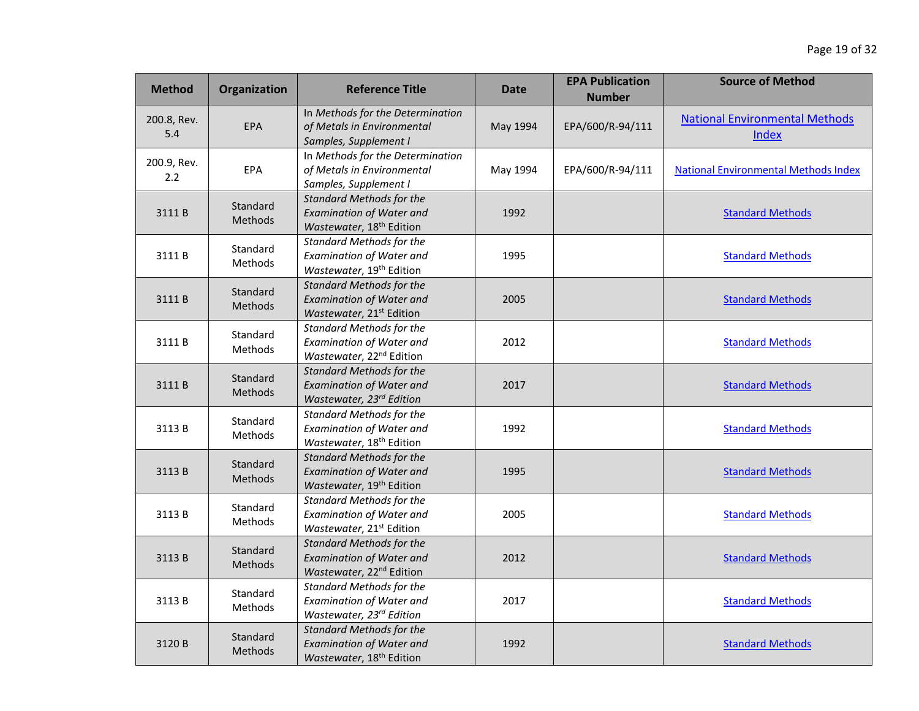| <b>Method</b>      | Organization               | <b>Reference Title</b>                                                                                     | <b>Date</b> | <b>EPA Publication</b><br><b>Number</b> | <b>Source of Method</b>                               |
|--------------------|----------------------------|------------------------------------------------------------------------------------------------------------|-------------|-----------------------------------------|-------------------------------------------------------|
| 200.8, Rev.<br>5.4 | EPA                        | In Methods for the Determination<br>of Metals in Environmental<br>Samples, Supplement I                    | May 1994    | EPA/600/R-94/111                        | <b>National Environmental Methods</b><br><b>Index</b> |
| 200.9, Rev.<br>2.2 | EPA                        | In Methods for the Determination<br>of Metals in Environmental<br>Samples, Supplement I                    | May 1994    | EPA/600/R-94/111                        | <b>National Environmental Methods Index</b>           |
| 3111B              | Standard<br>Methods        | <b>Standard Methods for the</b><br><b>Examination of Water and</b><br>Wastewater, 18 <sup>th</sup> Edition | 1992        |                                         | <b>Standard Methods</b>                               |
| 3111B              | Standard<br>Methods        | <b>Standard Methods for the</b><br><b>Examination of Water and</b><br>Wastewater, 19 <sup>th</sup> Edition | 1995        |                                         | <b>Standard Methods</b>                               |
| 3111B              | Standard<br>Methods        | <b>Standard Methods for the</b><br><b>Examination of Water and</b><br>Wastewater, 21 <sup>st</sup> Edition | 2005        |                                         | <b>Standard Methods</b>                               |
| 3111B              | Standard<br>Methods        | <b>Standard Methods for the</b><br>Examination of Water and<br>Wastewater, 22 <sup>nd</sup> Edition        | 2012        |                                         | <b>Standard Methods</b>                               |
| 3111B              | Standard<br><b>Methods</b> | <b>Standard Methods for the</b><br><b>Examination of Water and</b><br>Wastewater, 23rd Edition             | 2017        |                                         | <b>Standard Methods</b>                               |
| 3113B              | Standard<br>Methods        | <b>Standard Methods for the</b><br>Examination of Water and<br>Wastewater, 18 <sup>th</sup> Edition        | 1992        |                                         | <b>Standard Methods</b>                               |
| 3113B              | Standard<br>Methods        | <b>Standard Methods for the</b><br><b>Examination of Water and</b><br>Wastewater, 19 <sup>th</sup> Edition | 1995        |                                         | <b>Standard Methods</b>                               |
| 3113B              | Standard<br><b>Methods</b> | <b>Standard Methods for the</b><br><b>Examination of Water and</b><br>Wastewater, 21 <sup>st</sup> Edition | 2005        |                                         | <b>Standard Methods</b>                               |
| 3113B              | Standard<br><b>Methods</b> | <b>Standard Methods for the</b><br><b>Examination of Water and</b><br>Wastewater, 22 <sup>nd</sup> Edition | 2012        |                                         | <b>Standard Methods</b>                               |
| 3113B              | Standard<br>Methods        | <b>Standard Methods for the</b><br><b>Examination of Water and</b><br>Wastewater, 23rd Edition             | 2017        |                                         | <b>Standard Methods</b>                               |
| 3120 B             | Standard<br>Methods        | <b>Standard Methods for the</b><br><b>Examination of Water and</b><br>Wastewater, 18 <sup>th</sup> Edition | 1992        |                                         | <b>Standard Methods</b>                               |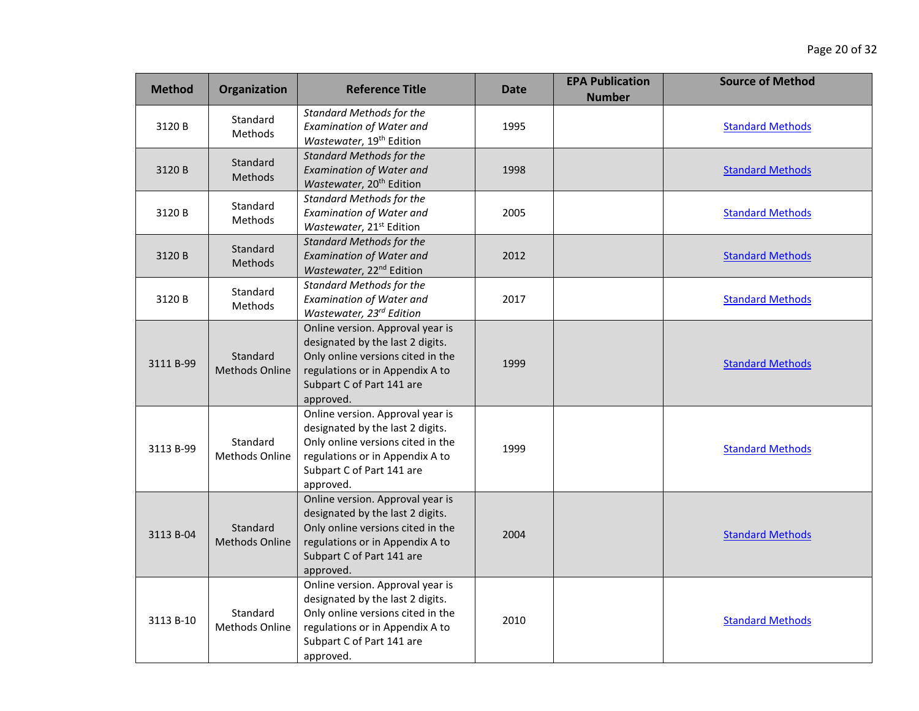| <b>Method</b> | <b>Organization</b>               | <b>Reference Title</b>                                                                                                                                                                 | <b>Date</b> | <b>EPA Publication</b><br><b>Number</b> | <b>Source of Method</b> |
|---------------|-----------------------------------|----------------------------------------------------------------------------------------------------------------------------------------------------------------------------------------|-------------|-----------------------------------------|-------------------------|
| 3120 B        | Standard<br><b>Methods</b>        | <b>Standard Methods for the</b><br><b>Examination of Water and</b><br>Wastewater, 19 <sup>th</sup> Edition                                                                             | 1995        |                                         | <b>Standard Methods</b> |
| 3120 B        | Standard<br>Methods               | <b>Standard Methods for the</b><br><b>Examination of Water and</b><br>Wastewater, 20 <sup>th</sup> Edition                                                                             | 1998        |                                         | <b>Standard Methods</b> |
| 3120 B        | Standard<br><b>Methods</b>        | <b>Standard Methods for the</b><br><b>Examination of Water and</b><br>Wastewater, 21 <sup>st</sup> Edition                                                                             | 2005        |                                         | <b>Standard Methods</b> |
| 3120 B        | Standard<br>Methods               | <b>Standard Methods for the</b><br><b>Examination of Water and</b><br>Wastewater, 22 <sup>nd</sup> Edition                                                                             | 2012        |                                         | <b>Standard Methods</b> |
| 3120 B        | Standard<br><b>Methods</b>        | <b>Standard Methods for the</b><br><b>Examination of Water and</b><br>Wastewater, 23rd Edition                                                                                         | 2017        |                                         | <b>Standard Methods</b> |
| 3111 B-99     | Standard<br><b>Methods Online</b> | Online version. Approval year is<br>designated by the last 2 digits.<br>Only online versions cited in the<br>regulations or in Appendix A to<br>Subpart C of Part 141 are<br>approved. | 1999        |                                         | <b>Standard Methods</b> |
| 3113 B-99     | Standard<br>Methods Online        | Online version. Approval year is<br>designated by the last 2 digits.<br>Only online versions cited in the<br>regulations or in Appendix A to<br>Subpart C of Part 141 are<br>approved. | 1999        |                                         | <b>Standard Methods</b> |
| 3113 B-04     | Standard<br><b>Methods Online</b> | Online version. Approval year is<br>designated by the last 2 digits.<br>Only online versions cited in the<br>regulations or in Appendix A to<br>Subpart C of Part 141 are<br>approved. | 2004        |                                         | <b>Standard Methods</b> |
| 3113 B-10     | Standard<br>Methods Online        | Online version. Approval year is<br>designated by the last 2 digits.<br>Only online versions cited in the<br>regulations or in Appendix A to<br>Subpart C of Part 141 are<br>approved. | 2010        |                                         | <b>Standard Methods</b> |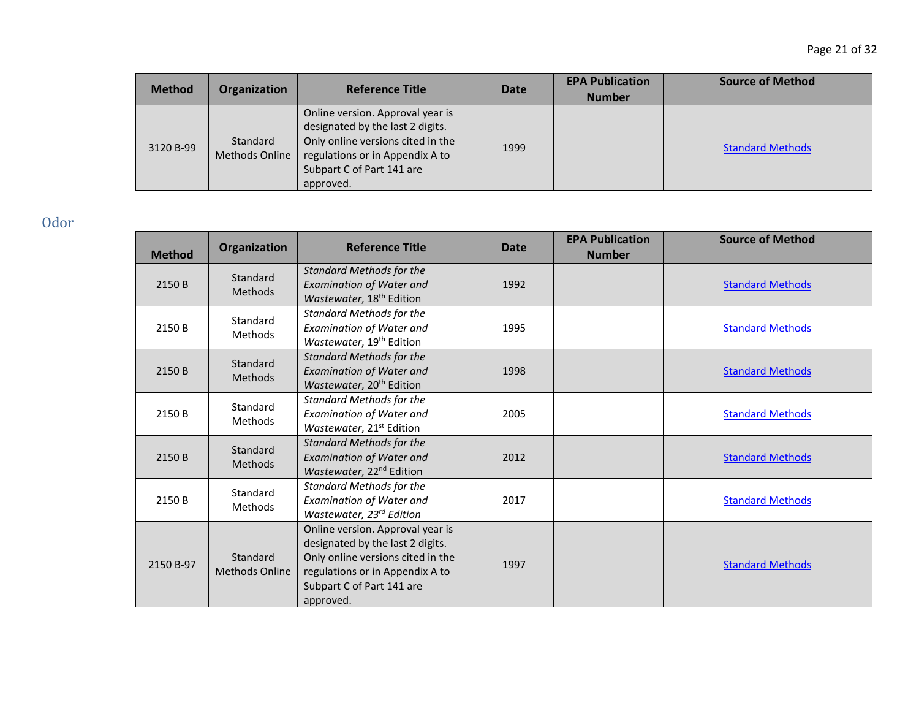| <b>Method</b> | <b>Organization</b>        | <b>Reference Title</b>                                                                                                                                                                 | <b>Date</b> | <b>EPA Publication</b><br><b>Number</b> | <b>Source of Method</b> |
|---------------|----------------------------|----------------------------------------------------------------------------------------------------------------------------------------------------------------------------------------|-------------|-----------------------------------------|-------------------------|
| 3120 B-99     | Standard<br>Methods Online | Online version. Approval year is<br>designated by the last 2 digits.<br>Only online versions cited in the<br>regulations or in Appendix A to<br>Subpart C of Part 141 are<br>approved. | 1999        |                                         | <b>Standard Methods</b> |

Odor

| <b>Method</b> | Organization                      | <b>Reference Title</b>                                                                                                                                                                 | <b>Date</b> | <b>EPA Publication</b><br><b>Number</b> | <b>Source of Method</b> |
|---------------|-----------------------------------|----------------------------------------------------------------------------------------------------------------------------------------------------------------------------------------|-------------|-----------------------------------------|-------------------------|
| 2150 B        | Standard<br><b>Methods</b>        | <b>Standard Methods for the</b><br><b>Examination of Water and</b><br>Wastewater, 18 <sup>th</sup> Edition                                                                             | 1992        |                                         | <b>Standard Methods</b> |
| 2150 B        | Standard<br><b>Methods</b>        | <b>Standard Methods for the</b><br><b>Examination of Water and</b><br>Wastewater, 19 <sup>th</sup> Edition                                                                             | 1995        |                                         | <b>Standard Methods</b> |
| 2150 B        | Standard<br><b>Methods</b>        | <b>Standard Methods for the</b><br><b>Examination of Water and</b><br>Wastewater, 20 <sup>th</sup> Edition                                                                             | 1998        |                                         | <b>Standard Methods</b> |
| 2150 B        | Standard<br>Methods               | <b>Standard Methods for the</b><br><b>Examination of Water and</b><br>Wastewater, 21 <sup>st</sup> Edition                                                                             | 2005        |                                         | <b>Standard Methods</b> |
| 2150 B        | Standard<br><b>Methods</b>        | <b>Standard Methods for the</b><br><b>Examination of Water and</b><br>Wastewater, 22 <sup>nd</sup> Edition                                                                             | 2012        |                                         | <b>Standard Methods</b> |
| 2150 B        | Standard<br><b>Methods</b>        | <b>Standard Methods for the</b><br><b>Examination of Water and</b><br>Wastewater, 23rd Edition                                                                                         | 2017        |                                         | <b>Standard Methods</b> |
| 2150 B-97     | Standard<br><b>Methods Online</b> | Online version. Approval year is<br>designated by the last 2 digits.<br>Only online versions cited in the<br>regulations or in Appendix A to<br>Subpart C of Part 141 are<br>approved. | 1997        |                                         | <b>Standard Methods</b> |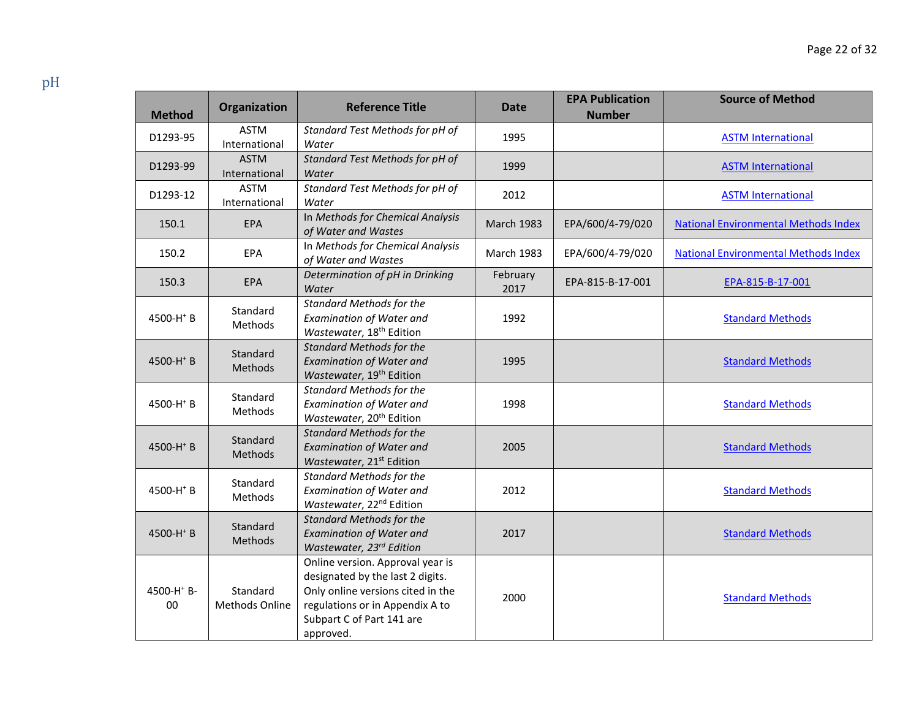| <b>Method</b>                | Organization                 | <b>Reference Title</b>                                                                                                                                                                 | Date              | <b>EPA Publication</b><br><b>Number</b> | <b>Source of Method</b>                     |
|------------------------------|------------------------------|----------------------------------------------------------------------------------------------------------------------------------------------------------------------------------------|-------------------|-----------------------------------------|---------------------------------------------|
| D1293-95                     | <b>ASTM</b><br>International | Standard Test Methods for pH of<br>Water                                                                                                                                               | 1995              |                                         | <b>ASTM International</b>                   |
| D1293-99                     | <b>ASTM</b><br>International | Standard Test Methods for pH of<br>Water                                                                                                                                               | 1999              |                                         | <b>ASTM International</b>                   |
| D1293-12                     | <b>ASTM</b><br>International | Standard Test Methods for pH of<br>Water                                                                                                                                               | 2012              |                                         | <b>ASTM International</b>                   |
| 150.1                        | EPA                          | In Methods for Chemical Analysis<br>of Water and Wastes                                                                                                                                | <b>March 1983</b> | EPA/600/4-79/020                        | <b>National Environmental Methods Index</b> |
| 150.2                        | <b>EPA</b>                   | In Methods for Chemical Analysis<br>of Water and Wastes                                                                                                                                | <b>March 1983</b> | EPA/600/4-79/020                        | <b>National Environmental Methods Index</b> |
| 150.3                        | <b>EPA</b>                   | Determination of pH in Drinking<br>Water                                                                                                                                               | February<br>2017  | EPA-815-B-17-001                        | EPA-815-B-17-001                            |
| 4500-H <sup>+</sup> B        | Standard<br>Methods          | <b>Standard Methods for the</b><br><b>Examination of Water and</b><br>Wastewater, 18 <sup>th</sup> Edition                                                                             | 1992              |                                         | <b>Standard Methods</b>                     |
| 4500-H <sup>+</sup> B        | Standard<br>Methods          | <b>Standard Methods for the</b><br><b>Examination of Water and</b><br>Wastewater, 19 <sup>th</sup> Edition                                                                             | 1995              |                                         | <b>Standard Methods</b>                     |
| 4500-H <sup>+</sup> B        | Standard<br><b>Methods</b>   | <b>Standard Methods for the</b><br><b>Examination of Water and</b><br>Wastewater, 20 <sup>th</sup> Edition                                                                             | 1998              |                                         | <b>Standard Methods</b>                     |
| 4500-H <sup>+</sup> B        | Standard<br>Methods          | <b>Standard Methods for the</b><br><b>Examination of Water and</b><br>Wastewater, 21 <sup>st</sup> Edition                                                                             | 2005              |                                         | <b>Standard Methods</b>                     |
| 4500-H <sup>+</sup> B        | Standard<br>Methods          | <b>Standard Methods for the</b><br><b>Examination of Water and</b><br>Wastewater, 22 <sup>nd</sup> Edition                                                                             | 2012              |                                         | <b>Standard Methods</b>                     |
| 4500-H <sup>+</sup> B        | Standard<br>Methods          | <b>Standard Methods for the</b><br><b>Examination of Water and</b><br>Wastewater, 23rd Edition                                                                                         | 2017              |                                         | <b>Standard Methods</b>                     |
| 4500-H <sup>+</sup> B-<br>00 | Standard<br>Methods Online   | Online version. Approval year is<br>designated by the last 2 digits.<br>Only online versions cited in the<br>regulations or in Appendix A to<br>Subpart C of Part 141 are<br>approved. | 2000              |                                         | <b>Standard Methods</b>                     |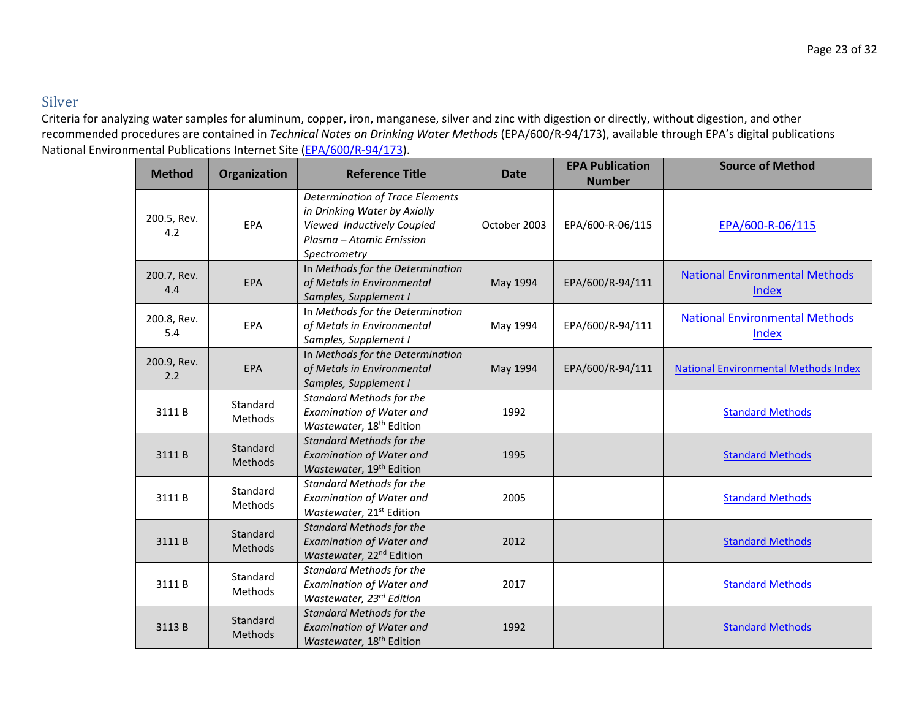### Silver

| <b>Method</b>      | Organization               | <b>Reference Title</b>                                                                                                                           | <b>Date</b>  | <b>EPA Publication</b><br><b>Number</b> | <b>Source of Method</b>                        |
|--------------------|----------------------------|--------------------------------------------------------------------------------------------------------------------------------------------------|--------------|-----------------------------------------|------------------------------------------------|
| 200.5, Rev.<br>4.2 | EPA                        | <b>Determination of Trace Elements</b><br>in Drinking Water by Axially<br>Viewed Inductively Coupled<br>Plasma - Atomic Emission<br>Spectrometry | October 2003 | EPA/600-R-06/115                        | EPA/600-R-06/115                               |
| 200.7, Rev.<br>4.4 | <b>EPA</b>                 | In Methods for the Determination<br>of Metals in Environmental<br>Samples, Supplement I                                                          | May 1994     | EPA/600/R-94/111                        | <b>National Environmental Methods</b><br>Index |
| 200.8, Rev.<br>5.4 | EPA                        | In Methods for the Determination<br>of Metals in Environmental<br>Samples, Supplement I                                                          | May 1994     | EPA/600/R-94/111                        | <b>National Environmental Methods</b><br>Index |
| 200.9, Rev.<br>2.2 | EPA                        | In Methods for the Determination<br>of Metals in Environmental<br>Samples, Supplement I                                                          | May 1994     | EPA/600/R-94/111                        | <b>National Environmental Methods Index</b>    |
| 3111B              | Standard<br><b>Methods</b> | <b>Standard Methods for the</b><br><b>Examination of Water and</b><br>Wastewater, 18 <sup>th</sup> Edition                                       | 1992         |                                         | <b>Standard Methods</b>                        |
| 3111B              | Standard<br>Methods        | <b>Standard Methods for the</b><br><b>Examination of Water and</b><br>Wastewater, 19 <sup>th</sup> Edition                                       | 1995         |                                         | <b>Standard Methods</b>                        |
| 3111B              | Standard<br>Methods        | <b>Standard Methods for the</b><br><b>Examination of Water and</b><br>Wastewater, 21 <sup>st</sup> Edition                                       | 2005         |                                         | <b>Standard Methods</b>                        |
| 3111B              | Standard<br>Methods        | <b>Standard Methods for the</b><br><b>Examination of Water and</b><br>Wastewater, 22 <sup>nd</sup> Edition                                       | 2012         |                                         | <b>Standard Methods</b>                        |
| 3111B              | Standard<br><b>Methods</b> | <b>Standard Methods for the</b><br><b>Examination of Water and</b><br>Wastewater, 23rd Edition                                                   | 2017         |                                         | <b>Standard Methods</b>                        |
| 3113B              | Standard<br>Methods        | <b>Standard Methods for the</b><br><b>Examination of Water and</b><br>Wastewater, 18 <sup>th</sup> Edition                                       | 1992         |                                         | <b>Standard Methods</b>                        |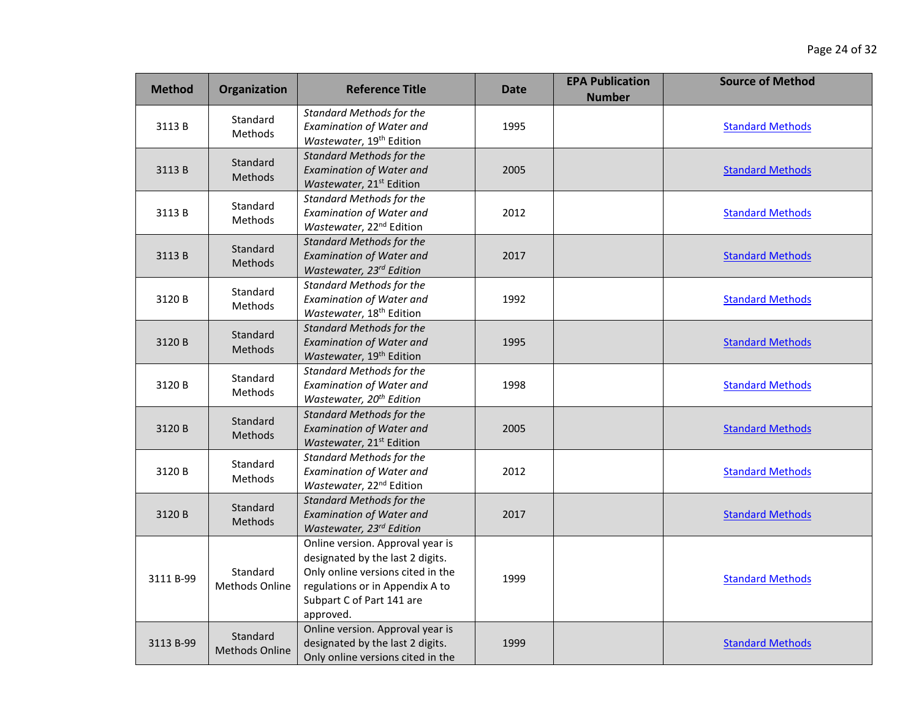| <b>Method</b> | Organization                      | <b>Reference Title</b>                                                                                                                                                                 | <b>Date</b> | <b>EPA Publication</b><br><b>Number</b> | <b>Source of Method</b> |
|---------------|-----------------------------------|----------------------------------------------------------------------------------------------------------------------------------------------------------------------------------------|-------------|-----------------------------------------|-------------------------|
| 3113B         | Standard<br><b>Methods</b>        | <b>Standard Methods for the</b><br><b>Examination of Water and</b><br>Wastewater, 19 <sup>th</sup> Edition                                                                             | 1995        |                                         | <b>Standard Methods</b> |
| 3113B         | Standard<br>Methods               | <b>Standard Methods for the</b><br><b>Examination of Water and</b><br>Wastewater, 21 <sup>st</sup> Edition                                                                             | 2005        |                                         | <b>Standard Methods</b> |
| 3113B         | Standard<br><b>Methods</b>        | <b>Standard Methods for the</b><br><b>Examination of Water and</b><br>Wastewater, 22 <sup>nd</sup> Edition                                                                             | 2012        |                                         | <b>Standard Methods</b> |
| 3113B         | Standard<br>Methods               | <b>Standard Methods for the</b><br><b>Examination of Water and</b><br>Wastewater, 23rd Edition                                                                                         | 2017        |                                         | <b>Standard Methods</b> |
| 3120B         | Standard<br><b>Methods</b>        | <b>Standard Methods for the</b><br><b>Examination of Water and</b><br>Wastewater, 18 <sup>th</sup> Edition                                                                             | 1992        |                                         | <b>Standard Methods</b> |
| 3120B         | Standard<br>Methods               | <b>Standard Methods for the</b><br><b>Examination of Water and</b><br>Wastewater, 19 <sup>th</sup> Edition                                                                             | 1995        |                                         | <b>Standard Methods</b> |
| 3120 B        | Standard<br><b>Methods</b>        | <b>Standard Methods for the</b><br><b>Examination of Water and</b><br>Wastewater, 20 <sup>th</sup> Edition                                                                             | 1998        |                                         | <b>Standard Methods</b> |
| 3120 B        | Standard<br>Methods               | <b>Standard Methods for the</b><br><b>Examination of Water and</b><br>Wastewater, 21 <sup>st</sup> Edition                                                                             | 2005        |                                         | <b>Standard Methods</b> |
| 3120B         | Standard<br>Methods               | <b>Standard Methods for the</b><br><b>Examination of Water and</b><br>Wastewater, 22 <sup>nd</sup> Edition                                                                             | 2012        |                                         | <b>Standard Methods</b> |
| 3120B         | Standard<br>Methods               | <b>Standard Methods for the</b><br><b>Examination of Water and</b><br>Wastewater, 23rd Edition                                                                                         | 2017        |                                         | <b>Standard Methods</b> |
| 3111 B-99     | Standard<br><b>Methods Online</b> | Online version. Approval year is<br>designated by the last 2 digits.<br>Only online versions cited in the<br>regulations or in Appendix A to<br>Subpart C of Part 141 are<br>approved. | 1999        |                                         | <b>Standard Methods</b> |
| 3113 B-99     | Standard<br>Methods Online        | Online version. Approval year is<br>designated by the last 2 digits.<br>Only online versions cited in the                                                                              | 1999        |                                         | <b>Standard Methods</b> |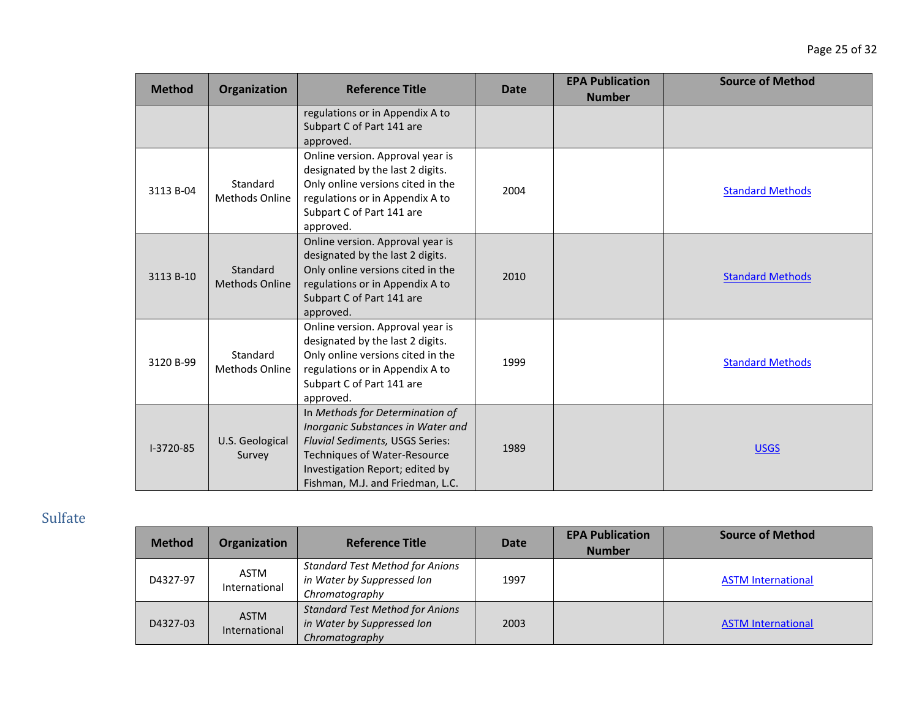| <b>Method</b> | Organization                      | <b>Reference Title</b>                                                                                                                                                                                                | <b>Date</b> | <b>EPA Publication</b><br><b>Number</b> | <b>Source of Method</b> |
|---------------|-----------------------------------|-----------------------------------------------------------------------------------------------------------------------------------------------------------------------------------------------------------------------|-------------|-----------------------------------------|-------------------------|
|               |                                   | regulations or in Appendix A to<br>Subpart C of Part 141 are<br>approved.                                                                                                                                             |             |                                         |                         |
| 3113 B-04     | Standard<br><b>Methods Online</b> | Online version. Approval year is<br>designated by the last 2 digits.<br>Only online versions cited in the<br>regulations or in Appendix A to<br>Subpart C of Part 141 are<br>approved.                                | 2004        |                                         | <b>Standard Methods</b> |
| 3113 B-10     | Standard<br><b>Methods Online</b> | Online version. Approval year is<br>designated by the last 2 digits.<br>Only online versions cited in the<br>regulations or in Appendix A to<br>Subpart C of Part 141 are<br>approved.                                | 2010        |                                         | <b>Standard Methods</b> |
| 3120 B-99     | Standard<br><b>Methods Online</b> | Online version. Approval year is<br>designated by the last 2 digits.<br>Only online versions cited in the<br>regulations or in Appendix A to<br>Subpart C of Part 141 are<br>approved.                                | 1999        |                                         | <b>Standard Methods</b> |
| I-3720-85     | U.S. Geological<br>Survey         | In Methods for Determination of<br>Inorganic Substances in Water and<br>Fluvial Sediments, USGS Series:<br><b>Techniques of Water-Resource</b><br>Investigation Report; edited by<br>Fishman, M.J. and Friedman, L.C. | 1989        |                                         | <b>USGS</b>             |

# Sulfate

| <b>Method</b> | Organization                 | <b>Reference Title</b>                                                                 | <b>Date</b> | <b>EPA Publication</b><br><b>Number</b> | <b>Source of Method</b>   |
|---------------|------------------------------|----------------------------------------------------------------------------------------|-------------|-----------------------------------------|---------------------------|
| D4327-97      | <b>ASTM</b><br>International | <b>Standard Test Method for Anions</b><br>in Water by Suppressed Ion<br>Chromatography | 1997        |                                         | <b>ASTM International</b> |
| D4327-03      | <b>ASTM</b><br>International | <b>Standard Test Method for Anions</b><br>in Water by Suppressed Ion<br>Chromatography | 2003        |                                         | <b>ASTM International</b> |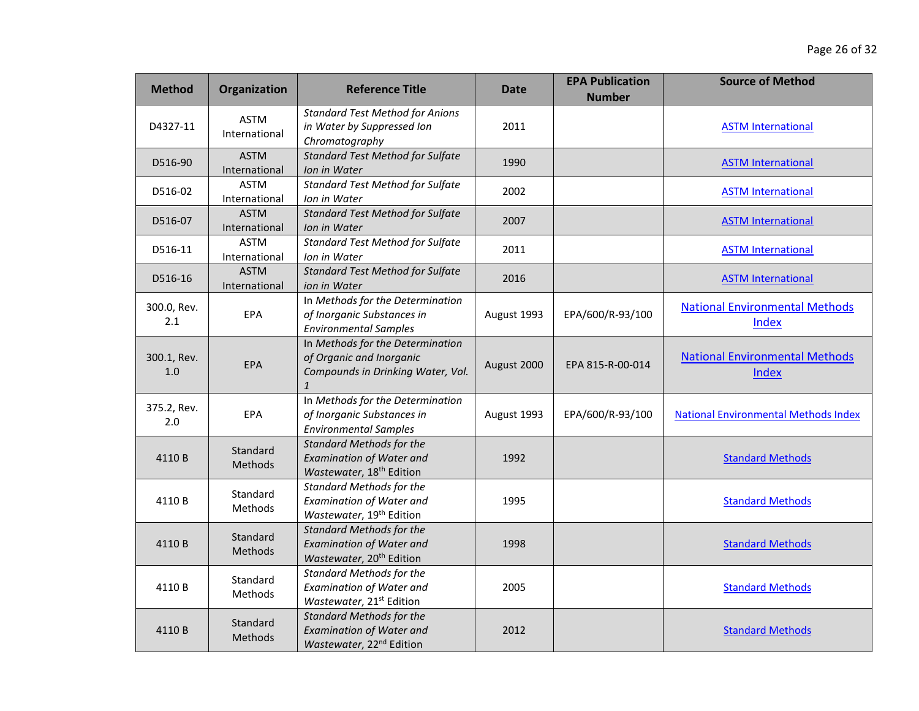| <b>Method</b>      | <b>Organization</b>          | <b>Reference Title</b>                                                                                            | <b>Date</b> | <b>EPA Publication</b><br><b>Number</b> | <b>Source of Method</b>                        |
|--------------------|------------------------------|-------------------------------------------------------------------------------------------------------------------|-------------|-----------------------------------------|------------------------------------------------|
| D4327-11           | <b>ASTM</b><br>International | <b>Standard Test Method for Anions</b><br>in Water by Suppressed Ion<br>Chromatography                            | 2011        |                                         | <b>ASTM International</b>                      |
| D516-90            | <b>ASTM</b><br>International | <b>Standard Test Method for Sulfate</b><br>Ion in Water                                                           | 1990        |                                         | <b>ASTM International</b>                      |
| D516-02            | <b>ASTM</b><br>International | <b>Standard Test Method for Sulfate</b><br>Ion in Water                                                           | 2002        |                                         | <b>ASTM International</b>                      |
| D516-07            | <b>ASTM</b><br>International | <b>Standard Test Method for Sulfate</b><br>Ion in Water                                                           | 2007        |                                         | <b>ASTM International</b>                      |
| D516-11            | <b>ASTM</b><br>International | <b>Standard Test Method for Sulfate</b><br>Ion in Water                                                           | 2011        |                                         | <b>ASTM International</b>                      |
| D516-16            | <b>ASTM</b><br>International | <b>Standard Test Method for Sulfate</b><br>ion in Water                                                           | 2016        |                                         | <b>ASTM International</b>                      |
| 300.0, Rev.<br>2.1 | EPA                          | In Methods for the Determination<br>of Inorganic Substances in<br><b>Environmental Samples</b>                    | August 1993 | EPA/600/R-93/100                        | <b>National Environmental Methods</b><br>Index |
| 300.1, Rev.<br>1.0 | <b>EPA</b>                   | In Methods for the Determination<br>of Organic and Inorganic<br>Compounds in Drinking Water, Vol.<br>$\mathbf{1}$ | August 2000 | EPA 815-R-00-014                        | <b>National Environmental Methods</b><br>Index |
| 375.2, Rev.<br>2.0 | EPA                          | In Methods for the Determination<br>of Inorganic Substances in<br><b>Environmental Samples</b>                    | August 1993 | EPA/600/R-93/100                        | <b>National Environmental Methods Index</b>    |
| 4110B              | Standard<br>Methods          | <b>Standard Methods for the</b><br><b>Examination of Water and</b><br>Wastewater, 18 <sup>th</sup> Edition        | 1992        |                                         | <b>Standard Methods</b>                        |
| 4110B              | Standard<br>Methods          | <b>Standard Methods for the</b><br><b>Examination of Water and</b><br>Wastewater, 19 <sup>th</sup> Edition        | 1995        |                                         | <b>Standard Methods</b>                        |
| 4110B              | Standard<br>Methods          | <b>Standard Methods for the</b><br><b>Examination of Water and</b><br>Wastewater, 20 <sup>th</sup> Edition        | 1998        |                                         | <b>Standard Methods</b>                        |
| 4110 B             | Standard<br>Methods          | <b>Standard Methods for the</b><br><b>Examination of Water and</b><br>Wastewater, 21 <sup>st</sup> Edition        | 2005        |                                         | <b>Standard Methods</b>                        |
| 4110B              | Standard<br>Methods          | <b>Standard Methods for the</b><br><b>Examination of Water and</b><br>Wastewater, 22 <sup>nd</sup> Edition        | 2012        |                                         | <b>Standard Methods</b>                        |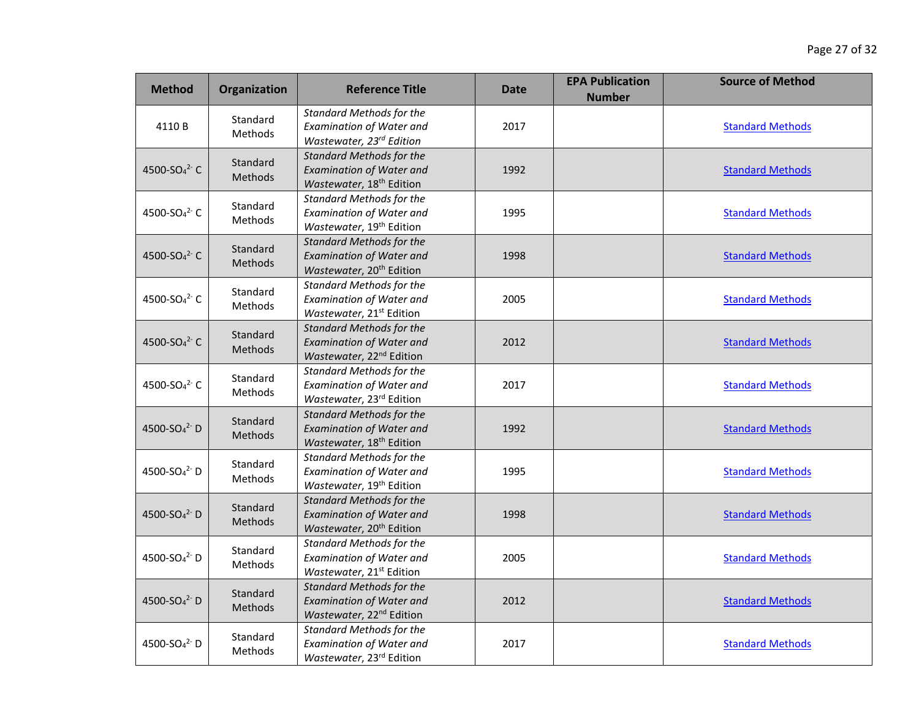| <b>Method</b>                        | Organization               | <b>Reference Title</b>                                                                                     | <b>Date</b> | <b>EPA Publication</b><br><b>Number</b> | <b>Source of Method</b> |
|--------------------------------------|----------------------------|------------------------------------------------------------------------------------------------------------|-------------|-----------------------------------------|-------------------------|
| 4110B                                | Standard<br>Methods        | <b>Standard Methods for the</b><br><b>Examination of Water and</b><br>Wastewater, 23rd Edition             | 2017        |                                         | <b>Standard Methods</b> |
| 4500-SO <sub>4</sub> <sup>2-</sup> C | Standard<br>Methods        | <b>Standard Methods for the</b><br><b>Examination of Water and</b><br>Wastewater, 18 <sup>th</sup> Edition | 1992        |                                         | <b>Standard Methods</b> |
| 4500-SO <sub>4</sub> <sup>2-</sup> C | Standard<br>Methods        | <b>Standard Methods for the</b><br><b>Examination of Water and</b><br>Wastewater, 19 <sup>th</sup> Edition | 1995        |                                         | <b>Standard Methods</b> |
| 4500-SO <sub>4</sub> <sup>2-</sup> C | Standard<br>Methods        | <b>Standard Methods for the</b><br><b>Examination of Water and</b><br>Wastewater, 20 <sup>th</sup> Edition | 1998        |                                         | <b>Standard Methods</b> |
| 4500-SO <sub>4</sub> <sup>2-</sup> C | Standard<br>Methods        | <b>Standard Methods for the</b><br><b>Examination of Water and</b><br>Wastewater, 21 <sup>st</sup> Edition | 2005        |                                         | <b>Standard Methods</b> |
| 4500-SO <sub>4</sub> <sup>2-</sup> C | Standard<br>Methods        | <b>Standard Methods for the</b><br><b>Examination of Water and</b><br>Wastewater, 22 <sup>nd</sup> Edition | 2012        |                                         | <b>Standard Methods</b> |
| 4500-SO <sub>4</sub> <sup>2</sup> C  | Standard<br>Methods        | <b>Standard Methods for the</b><br><b>Examination of Water and</b><br>Wastewater, 23rd Edition             | 2017        |                                         | <b>Standard Methods</b> |
| 4500-SO <sub>4</sub> <sup>2-</sup> D | Standard<br>Methods        | <b>Standard Methods for the</b><br><b>Examination of Water and</b><br>Wastewater, 18 <sup>th</sup> Edition | 1992        |                                         | <b>Standard Methods</b> |
| 4500-SO <sub>4</sub> <sup>2-</sup> D | Standard<br>Methods        | <b>Standard Methods for the</b><br><b>Examination of Water and</b><br>Wastewater, 19 <sup>th</sup> Edition | 1995        |                                         | <b>Standard Methods</b> |
| 4500-SO <sub>4</sub> <sup>2-</sup> D | Standard<br><b>Methods</b> | <b>Standard Methods for the</b><br><b>Examination of Water and</b><br>Wastewater, 20 <sup>th</sup> Edition | 1998        |                                         | <b>Standard Methods</b> |
| 4500-SO <sub>4</sub> <sup>2</sup> D  | Standard<br>Methods        | <b>Standard Methods for the</b><br><b>Examination of Water and</b><br>Wastewater, 21 <sup>st</sup> Edition | 2005        |                                         | <b>Standard Methods</b> |
| 4500-SO <sub>4</sub> <sup>2-</sup> D | Standard<br>Methods        | <b>Standard Methods for the</b><br><b>Examination of Water and</b><br>Wastewater, 22 <sup>nd</sup> Edition | 2012        |                                         | <b>Standard Methods</b> |
| 4500-SO <sub>4</sub> <sup>2</sup> D  | Standard<br>Methods        | <b>Standard Methods for the</b><br><b>Examination of Water and</b><br>Wastewater, 23rd Edition             | 2017        |                                         | <b>Standard Methods</b> |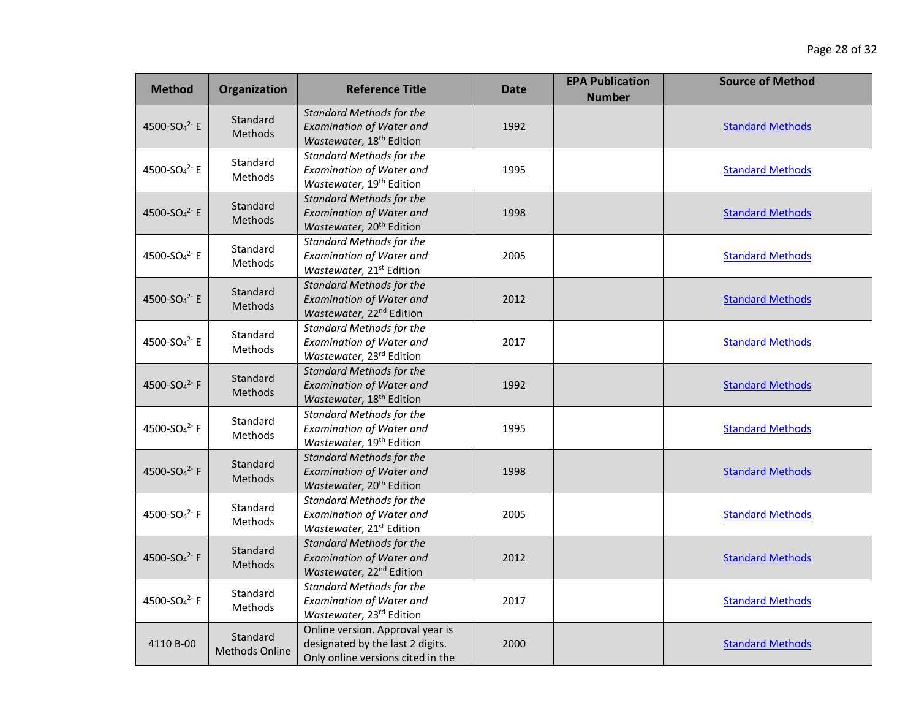| <b>Method</b>                        | Organization                      | <b>Reference Title</b>                                                                                     | <b>Date</b> | <b>EPA Publication</b><br><b>Number</b> | <b>Source of Method</b> |
|--------------------------------------|-----------------------------------|------------------------------------------------------------------------------------------------------------|-------------|-----------------------------------------|-------------------------|
| 4500-SO <sub>4</sub> <sup>2-</sup> E | Standard<br>Methods               | <b>Standard Methods for the</b><br><b>Examination of Water and</b><br>Wastewater, 18 <sup>th</sup> Edition | 1992        |                                         | <b>Standard Methods</b> |
| 4500-SO <sub>4</sub> <sup>2-</sup> E | Standard<br>Methods               | <b>Standard Methods for the</b><br><b>Examination of Water and</b><br>Wastewater, 19 <sup>th</sup> Edition | 1995        |                                         | <b>Standard Methods</b> |
| 4500-SO <sub>4</sub> <sup>2-</sup> E | Standard<br><b>Methods</b>        | <b>Standard Methods for the</b><br><b>Examination of Water and</b><br>Wastewater, 20 <sup>th</sup> Edition | 1998        |                                         | <b>Standard Methods</b> |
| 4500-SO <sub>4</sub> <sup>2-</sup> E | Standard<br>Methods               | <b>Standard Methods for the</b><br><b>Examination of Water and</b><br>Wastewater, 21 <sup>st</sup> Edition | 2005        |                                         | <b>Standard Methods</b> |
| 4500-SO <sub>4</sub> <sup>2-</sup> E | Standard<br>Methods               | <b>Standard Methods for the</b><br><b>Examination of Water and</b><br>Wastewater, 22 <sup>nd</sup> Edition | 2012        |                                         | <b>Standard Methods</b> |
| 4500-SO <sub>4</sub> <sup>2-</sup> E | Standard<br>Methods               | <b>Standard Methods for the</b><br><b>Examination of Water and</b><br>Wastewater, 23rd Edition             | 2017        |                                         | <b>Standard Methods</b> |
| 4500-SO <sub>4</sub> <sup>2-</sup> F | Standard<br><b>Methods</b>        | <b>Standard Methods for the</b><br><b>Examination of Water and</b><br>Wastewater, 18 <sup>th</sup> Edition | 1992        |                                         | <b>Standard Methods</b> |
| 4500-SO <sub>4</sub> <sup>2-</sup> F | Standard<br>Methods               | <b>Standard Methods for the</b><br><b>Examination of Water and</b><br>Wastewater, 19 <sup>th</sup> Edition | 1995        |                                         | <b>Standard Methods</b> |
| 4500-SO <sub>4</sub> <sup>2-</sup> F | Standard<br>Methods               | <b>Standard Methods for the</b><br><b>Examination of Water and</b><br>Wastewater, 20 <sup>th</sup> Edition | 1998        |                                         | <b>Standard Methods</b> |
| 4500-SO <sub>4</sub> <sup>2-</sup> F | Standard<br>Methods               | <b>Standard Methods for the</b><br><b>Examination of Water and</b><br>Wastewater, 21 <sup>st</sup> Edition | 2005        |                                         | <b>Standard Methods</b> |
| 4500-SO <sub>4</sub> <sup>2-</sup> F | Standard<br>Methods               | <b>Standard Methods for the</b><br><b>Examination of Water and</b><br>Wastewater, 22 <sup>nd</sup> Edition | 2012        |                                         | <b>Standard Methods</b> |
| 4500-SO <sub>4</sub> <sup>2-</sup> F | Standard<br>Methods               | <b>Standard Methods for the</b><br><b>Examination of Water and</b><br>Wastewater, 23rd Edition             | 2017        |                                         | <b>Standard Methods</b> |
| 4110 B-00                            | Standard<br><b>Methods Online</b> | Online version. Approval year is<br>designated by the last 2 digits.<br>Only online versions cited in the  | 2000        |                                         | <b>Standard Methods</b> |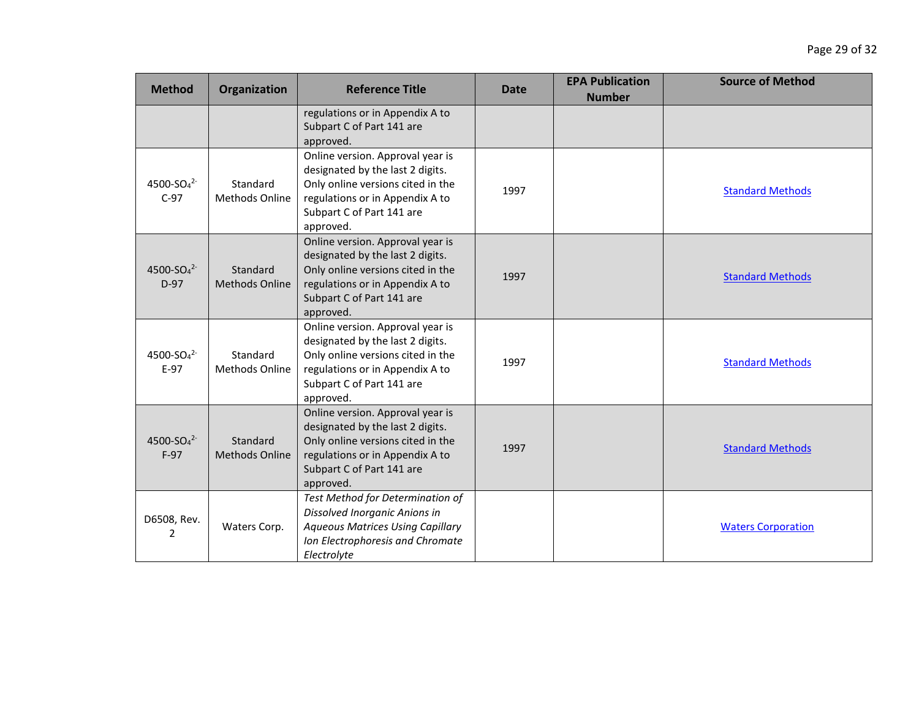| <b>Method</b>                                | Organization                      | <b>Reference Title</b>                                                                                                                                                                 | <b>Date</b> | <b>EPA Publication</b><br><b>Number</b> | <b>Source of Method</b>   |
|----------------------------------------------|-----------------------------------|----------------------------------------------------------------------------------------------------------------------------------------------------------------------------------------|-------------|-----------------------------------------|---------------------------|
|                                              |                                   | regulations or in Appendix A to<br>Subpart C of Part 141 are<br>approved.                                                                                                              |             |                                         |                           |
| 4500-SO <sub>4</sub> <sup>2-</sup><br>$C-97$ | Standard<br><b>Methods Online</b> | Online version. Approval year is<br>designated by the last 2 digits.<br>Only online versions cited in the<br>regulations or in Appendix A to<br>Subpart C of Part 141 are<br>approved. | 1997        |                                         | <b>Standard Methods</b>   |
| 4500-SO <sub>4</sub> <sup>2-</sup><br>$D-97$ | Standard<br><b>Methods Online</b> | Online version. Approval year is<br>designated by the last 2 digits.<br>Only online versions cited in the<br>regulations or in Appendix A to<br>Subpart C of Part 141 are<br>approved. | 1997        |                                         | <b>Standard Methods</b>   |
| 4500-SO <sub>4</sub> <sup>2-</sup><br>$E-97$ | Standard<br><b>Methods Online</b> | Online version. Approval year is<br>designated by the last 2 digits.<br>Only online versions cited in the<br>regulations or in Appendix A to<br>Subpart C of Part 141 are<br>approved. | 1997        |                                         | <b>Standard Methods</b>   |
| 4500-SO <sub>4</sub> <sup>2-</sup><br>$F-97$ | Standard<br><b>Methods Online</b> | Online version. Approval year is<br>designated by the last 2 digits.<br>Only online versions cited in the<br>regulations or in Appendix A to<br>Subpart C of Part 141 are<br>approved. | 1997        |                                         | <b>Standard Methods</b>   |
| D6508, Rev.<br>2                             | Waters Corp.                      | Test Method for Determination of<br>Dissolved Inorganic Anions in<br><b>Aqueous Matrices Using Capillary</b><br>Ion Electrophoresis and Chromate<br>Electrolyte                        |             |                                         | <b>Waters Corporation</b> |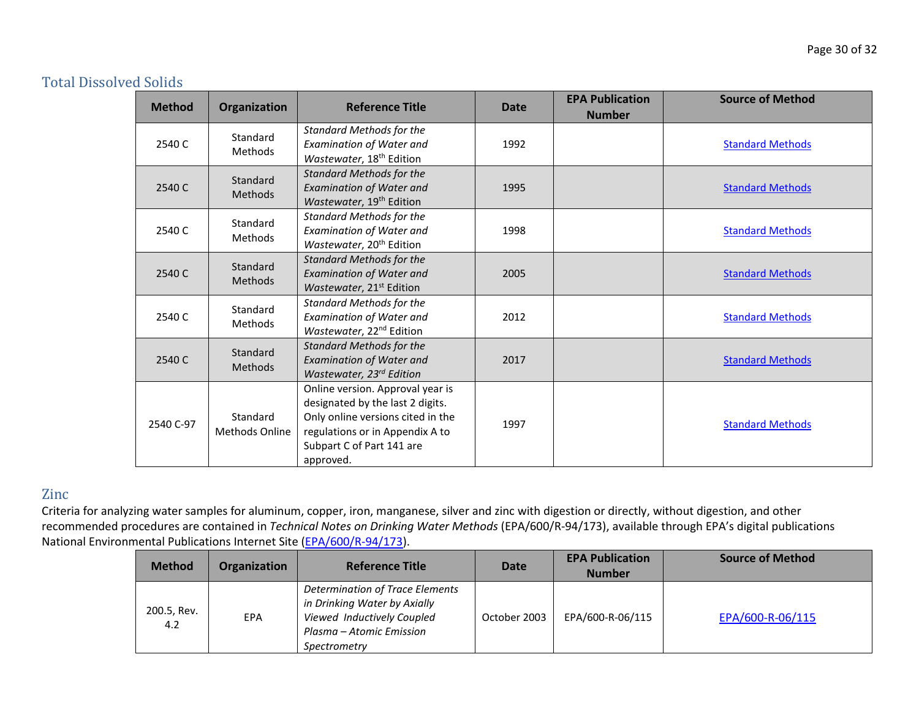### Total Dissolved Solids

| <b>Method</b> | Organization                      | <b>Reference Title</b>                                                                                                                                                                 | <b>Date</b> | <b>EPA Publication</b><br><b>Number</b> | <b>Source of Method</b> |
|---------------|-----------------------------------|----------------------------------------------------------------------------------------------------------------------------------------------------------------------------------------|-------------|-----------------------------------------|-------------------------|
| 2540 C        | Standard<br><b>Methods</b>        | <b>Standard Methods for the</b><br>Examination of Water and<br>Wastewater, 18 <sup>th</sup> Edition                                                                                    | 1992        |                                         | <b>Standard Methods</b> |
| 2540 C        | Standard<br><b>Methods</b>        | <b>Standard Methods for the</b><br><b>Examination of Water and</b><br>Wastewater, 19 <sup>th</sup> Edition                                                                             | 1995        |                                         | <b>Standard Methods</b> |
| 2540 C        | Standard<br><b>Methods</b>        | <b>Standard Methods for the</b><br><b>Examination of Water and</b><br>Wastewater, 20 <sup>th</sup> Edition                                                                             | 1998        |                                         | <b>Standard Methods</b> |
| 2540 C        | Standard<br><b>Methods</b>        | <b>Standard Methods for the</b><br><b>Examination of Water and</b><br>Wastewater, 21 <sup>st</sup> Edition                                                                             | 2005        |                                         | <b>Standard Methods</b> |
| 2540 C        | Standard<br><b>Methods</b>        | <b>Standard Methods for the</b><br><b>Examination of Water and</b><br>Wastewater, 22 <sup>nd</sup> Edition                                                                             | 2012        |                                         | <b>Standard Methods</b> |
| 2540 C        | Standard<br><b>Methods</b>        | <b>Standard Methods for the</b><br><b>Examination of Water and</b><br>Wastewater, 23rd Edition                                                                                         | 2017        |                                         | <b>Standard Methods</b> |
| 2540 C-97     | Standard<br><b>Methods Online</b> | Online version. Approval year is<br>designated by the last 2 digits.<br>Only online versions cited in the<br>regulations or in Appendix A to<br>Subpart C of Part 141 are<br>approved. | 1997        |                                         | <b>Standard Methods</b> |

### Zinc

| <b>Method</b>      | Organization | <b>Reference Title</b>                                                                                                                    | Date         | <b>EPA Publication</b><br><b>Number</b> | <b>Source of Method</b> |
|--------------------|--------------|-------------------------------------------------------------------------------------------------------------------------------------------|--------------|-----------------------------------------|-------------------------|
| 200.5, Rev.<br>4.2 | EPA          | Determination of Trace Elements<br>in Drinking Water by Axially<br>Viewed Inductively Coupled<br>Plasma – Atomic Emission<br>Spectrometry | October 2003 | EPA/600-R-06/115                        | EPA/600-R-06/115        |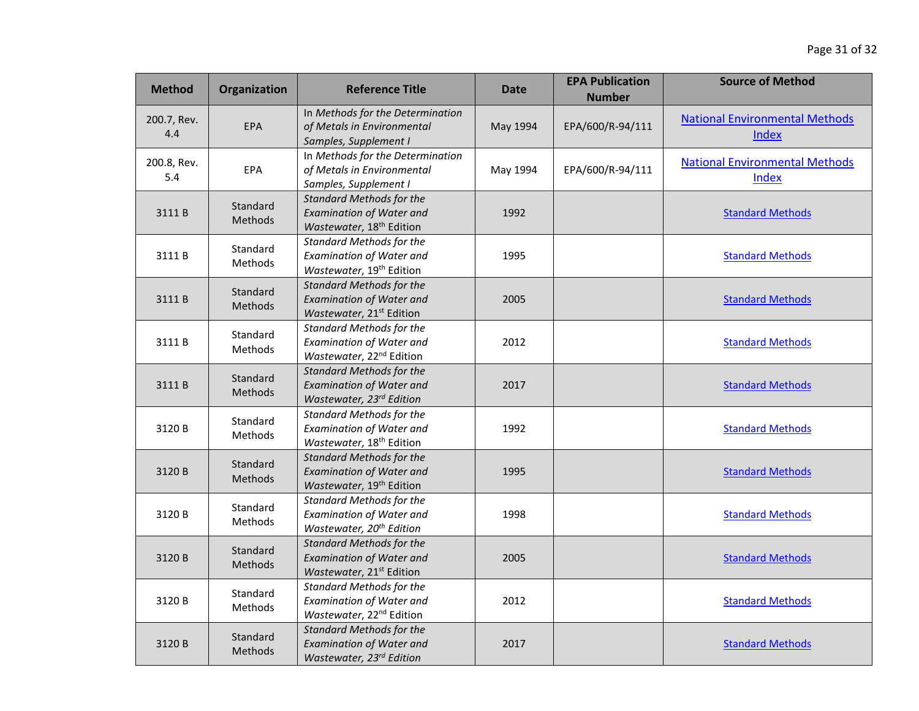| <b>Method</b>      | Organization               | <b>Reference Title</b>                                                                                     | Date     | <b>EPA Publication</b><br><b>Number</b> | <b>Source of Method</b>                               |
|--------------------|----------------------------|------------------------------------------------------------------------------------------------------------|----------|-----------------------------------------|-------------------------------------------------------|
| 200.7, Rev.<br>4.4 | EPA                        | In Methods for the Determination<br>of Metals in Environmental<br>Samples, Supplement I                    | May 1994 | EPA/600/R-94/111                        | <b>National Environmental Methods</b><br><b>Index</b> |
| 200.8, Rev.<br>5.4 | EPA                        | In Methods for the Determination<br>of Metals in Environmental<br>Samples, Supplement I                    | May 1994 | EPA/600/R-94/111                        | <b>National Environmental Methods</b><br>Index        |
| 3111B              | Standard<br>Methods        | <b>Standard Methods for the</b><br><b>Examination of Water and</b><br>Wastewater, 18 <sup>th</sup> Edition | 1992     |                                         | <b>Standard Methods</b>                               |
| 3111B              | Standard<br>Methods        | <b>Standard Methods for the</b><br><b>Examination of Water and</b><br>Wastewater, 19 <sup>th</sup> Edition | 1995     |                                         | <b>Standard Methods</b>                               |
| 3111B              | Standard<br><b>Methods</b> | <b>Standard Methods for the</b><br><b>Examination of Water and</b><br>Wastewater, 21st Edition             | 2005     |                                         | <b>Standard Methods</b>                               |
| 3111B              | Standard<br>Methods        | <b>Standard Methods for the</b><br><b>Examination of Water and</b><br>Wastewater, 22 <sup>nd</sup> Edition | 2012     |                                         | <b>Standard Methods</b>                               |
| 3111B              | Standard<br><b>Methods</b> | <b>Standard Methods for the</b><br><b>Examination of Water and</b><br>Wastewater, 23rd Edition             | 2017     |                                         | <b>Standard Methods</b>                               |
| 3120 B             | Standard<br>Methods        | <b>Standard Methods for the</b><br><b>Examination of Water and</b><br>Wastewater, 18 <sup>th</sup> Edition | 1992     |                                         | <b>Standard Methods</b>                               |
| 3120 B             | Standard<br>Methods        | <b>Standard Methods for the</b><br><b>Examination of Water and</b><br>Wastewater, 19 <sup>th</sup> Edition | 1995     |                                         | <b>Standard Methods</b>                               |
| 3120B              | Standard<br>Methods        | <b>Standard Methods for the</b><br><b>Examination of Water and</b><br>Wastewater, 20 <sup>th</sup> Edition | 1998     |                                         | <b>Standard Methods</b>                               |
| 3120 B             | Standard<br>Methods        | <b>Standard Methods for the</b><br><b>Examination of Water and</b><br>Wastewater, 21 <sup>st</sup> Edition | 2005     |                                         | <b>Standard Methods</b>                               |
| 3120 B             | Standard<br><b>Methods</b> | <b>Standard Methods for the</b><br><b>Examination of Water and</b><br>Wastewater, 22 <sup>nd</sup> Edition | 2012     |                                         | <b>Standard Methods</b>                               |
| 3120B              | Standard<br>Methods        | <b>Standard Methods for the</b><br><b>Examination of Water and</b><br>Wastewater, 23rd Edition             | 2017     |                                         | <b>Standard Methods</b>                               |